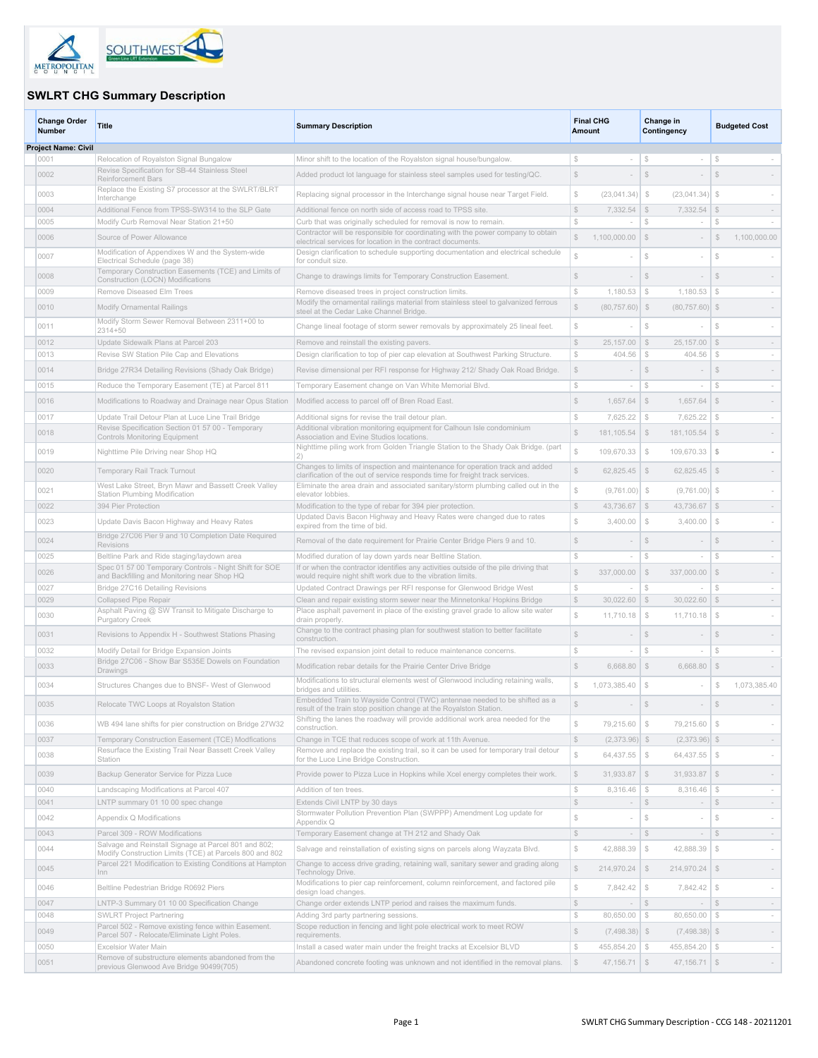

## **SWLRT CHG Summary Description**

| <b>Change Order</b><br><b>Number</b> | Title                                                                                                                  | <b>Summary Description</b>                                                                                                                                      | <b>Final CHG</b><br>Amount                                 | Change in<br>Contingency                   |                      | <b>Budgeted Cost</b>     |
|--------------------------------------|------------------------------------------------------------------------------------------------------------------------|-----------------------------------------------------------------------------------------------------------------------------------------------------------------|------------------------------------------------------------|--------------------------------------------|----------------------|--------------------------|
| <b>Project Name: Civil</b>           |                                                                                                                        |                                                                                                                                                                 |                                                            |                                            |                      |                          |
| 0001<br>0002                         | Relocation of Royalston Signal Bungalow<br>Revise Specification for SB-44 Stainless Steel<br><b>Reinforcement Bars</b> | Minor shift to the location of the Royalston signal house/bungalow<br>Added product lot language for stainless steel samples used for testing/QC.               | S<br>$\sim$<br>$$\mathbb{S}$$<br>$\sim$                    | S<br>$\sim$<br>$$\mathbb{S}$$              | \$<br>$$\mathbb{S}$$ |                          |
| 0003                                 | Replace the Existing S7 processor at the SWLRT/BLRT<br>Interchange                                                     | Replacing signal processor in the Interchange signal house near Target Field.                                                                                   | $\mathbb{S}$<br>(23,041.34)                                | $\mathcal{F}$<br>(23,041.34)               | S                    |                          |
| 0004                                 | Additional Fence from TPSS-SW314 to the SLP Gate                                                                       | Additional fence on north side of access road to TPSS site.                                                                                                     | $$\mathbb{S}$$<br>7,332.54                                 | $\mathbb{S}$<br>7,332.54                   |                      | $\overline{\phantom{a}}$ |
| 0005                                 | Modify Curb Removal Near Station 21+50                                                                                 | Curb that was originally scheduled for removal is now to remain.                                                                                                | $\mathbb{S}$                                               | $\mathbb{S}$                               | $\mathbb{S}$         |                          |
| 0006                                 | Source of Power Allowance                                                                                              | Contractor will be responsible for coordinating with the power company to obtain<br>electrical services for location in the contract documents.                 | S<br>1,100,000.00                                          | $\mathbb{S}$                               | $\mathbb{S}$         | 1,100,000.00             |
| 0007                                 | Modification of Appendixes W and the System-wide<br>Electrical Schedule (page 38)                                      | Design clarification to schedule supporting documentation and electrical schedule<br>for conduit size.                                                          | Ŝ.                                                         | S                                          | $\mathbb{S}$         |                          |
| 0008                                 | Temporary Construction Easements (TCE) and Limits of<br>Construction (LOCN) Modifications                              | Change to drawings limits for Temporary Construction Easement.                                                                                                  | S                                                          | S                                          | S                    |                          |
| 0009                                 | Remove Diseased Elm Trees                                                                                              | Remove diseased trees in project construction limits.                                                                                                           | $\mathbb{S}$<br>1,180.53                                   | $\sqrt{3}$<br>1,180.53                     | $\mathbb{S}$         | $\sim$                   |
| 0010                                 | Modify Ornamental Railings                                                                                             | Modify the ornamental railings material from stainless steel to galvanized ferrous<br>steel at the Cedar Lake Channel Bridge.                                   | $\mathbb{S}$<br>$(80,757.60)$ \$                           | $(80, 757.60)$ \$                          |                      |                          |
| 0011                                 | Modify Storm Sewer Removal Between 2311+00 to<br>$2314 + 50$                                                           | Change lineal footage of storm sewer removals by approximately 25 lineal feet.                                                                                  | $$\mathbb{S}$$                                             | $$\mathbb{S}$$                             | \$                   |                          |
| 0012                                 | Update Sidewalk Plans at Parcel 203                                                                                    | Remove and reinstall the existing pavers.                                                                                                                       | $\mathbb{S}$<br>25,157.00                                  | $\mathcal{L}$<br>25, 157.00                | $\mathbb{S}$         | $\sim$                   |
| 0013                                 | Revise SW Station Pile Cap and Elevations                                                                              | Design clarification to top of pier cap elevation at Southwest Parking Structure.                                                                               | $\mathbb{S}$<br>404.56                                     | $\mathcal{S}$<br>404.56                    | \$                   | $\sim$                   |
| 0014                                 | Bridge 27R34 Detailing Revisions (Shady Oak Bridge)                                                                    | Revise dimensional per RFI response for Highway 212/ Shady Oak Road Bridge.                                                                                     | $\mathbb{S}$                                               | S.                                         | S.                   |                          |
| 0015                                 | Reduce the Temporary Easement (TE) at Parcel 811                                                                       | Temporary Easement change on Van White Memorial Blvd.                                                                                                           | $$\mathbb{S}$$<br>$\sim$                                   | $\mathbb{S}$<br>$\overline{\phantom{a}}$   | $$\mathbb{S}$$       | $\sim$                   |
| 0016                                 | Modifications to Roadway and Drainage near Opus Station                                                                | Modified access to parcel off of Bren Road East.                                                                                                                | $\mathbb{S}$<br>1,657.64                                   | $\mathbb{S}$<br>1,657.64                   | $\mathbb{S}$         | $\overline{\phantom{a}}$ |
| 0017                                 | Update Trail Detour Plan at Luce Line Trail Bridge                                                                     | Additional signs for revise the trail detour plan.                                                                                                              | S<br>7,625.22                                              | $\mathbb{S}$<br>7,625.22                   | S                    | $\sim$                   |
| 0018                                 | Revise Specification Section 01 57 00 - Temporary<br>Controls Monitoring Equipment                                     | Additional vibration monitoring equipment for Calhoun Isle condominium<br>Association and Evine Studios locations.                                              | $\mathbb{S}$<br>181,105.54                                 | \$<br>$181, 105.54$ \$                     |                      |                          |
| 0019                                 | Nighttime Pile Driving near Shop HQ                                                                                    | Nighttime piling work from Golden Triangle Station to the Shady Oak Bridge. (part<br>2)                                                                         | Ŝ.<br>109,670.33                                           | $\mathcal{L}$<br>109,670.33                | - \$                 |                          |
| 0020                                 | Temporary Rail Track Turnout                                                                                           | Changes to limits of inspection and maintenance for operation track and added<br>clarification of the out of service responds time for freight track services.  | $\mathbb{S}$<br>62,825.45                                  | \$<br>$62,825.45$ \$                       |                      |                          |
| 0021                                 | West Lake Street, Bryn Mawr and Bassett Creek Valley<br><b>Station Plumbing Modification</b>                           | Eliminate the area drain and associated sanitary/storm plumbing called out in the<br>elevator lobbies.                                                          | $\mathbb{S}$<br>(9,761.00)                                 | $\mathcal{L}$<br>$(9,761.00)$ \$           |                      |                          |
| 0022                                 | 394 Pier Protection                                                                                                    | Modification to the type of rebar for 394 pier protection.                                                                                                      | $\mathbb{S}$<br>43,736.67                                  | \$<br>43,736.67                            | \$                   | $\overline{\phantom{a}}$ |
| 0023                                 | Update Davis Bacon Highway and Heavy Rates                                                                             | Updated Davis Bacon Highway and Heavy Rates were changed due to rates<br>expired from the time of bid.                                                          | $\mathbb{S}$<br>3,400.00                                   | $\mathcal{S}$<br>3,400.00                  | $$\mathbb{S}$$       |                          |
| 0024                                 | Bridge 27C06 Pier 9 and 10 Completion Date Required<br>Revisions                                                       | Removal of the date requirement for Prairie Center Bridge Piers 9 and 10.                                                                                       | $$\mathbb{S}$$                                             | $$\mathbb{S}$$                             | $$\mathbb{S}$$       |                          |
| 0025                                 | Beltline Park and Ride staging/laydown area                                                                            | Modified duration of lay down yards near Beltline Station.                                                                                                      | $$\mathbb{S}$$<br>$\sim$                                   | $\mathbb{S}$                               | $$\mathbb{S}$$       | $\sim$                   |
| 0026                                 | Spec 01 57 00 Temporary Controls - Night Shift for SOE<br>and Backfilling and Monitoring near Shop HQ                  | If or when the contractor identifies any activities outside of the pile driving that<br>would require night shift work due to the vibration limits.             | $\mathbb{S}$<br>337,000.00                                 | \$<br>337,000.00                           | \$                   |                          |
| 0027                                 | Bridge 27C16 Detailing Revisions                                                                                       | Updated Contract Drawings per RFI response for Glenwood Bridge West                                                                                             | $$\mathbb{S}$$                                             | $\mathbb{S}$                               | \$                   | $\sim$                   |
| 0029                                 | Collapsed Pipe Repair                                                                                                  | Clean and repair existing storm sewer near the Minnetonka/ Hopkins Bridge                                                                                       | $\mathbb{S}$<br>30,022.60                                  | 30,022.60<br>$\sqrt{S}$                    | $\mathcal{S}$        | $\sim$                   |
| 0030                                 | Asphalt Paving @ SW Transit to Mitigate Discharge to<br><b>Purgatory Creek</b>                                         | Place asphalt pavement in place of the existing gravel grade to allow site water<br>drain properly.                                                             | $\mathbb{S}$<br>11,710.18                                  | $\mathcal{L}$<br>11,710.18                 | $$\mathbb{S}$$       |                          |
| 0031                                 | Revisions to Appendix H - Southwest Stations Phasing                                                                   | Change to the contract phasing plan for southwest station to better facilitate<br>construction.                                                                 | \$                                                         | \$                                         | \$                   |                          |
| 0032                                 | Modify Detail for Bridge Expansion Joints                                                                              | The revised expansion joint detail to reduce maintenance concerns.                                                                                              | $\mathbb{S}$                                               | $\mathbb{S}$                               | $\mathbb{S}$         |                          |
| 0033                                 | Bridge 27C06 - Show Bar S535E Dowels on Foundation<br>Drawings                                                         | Modification rebar details for the Prairie Center Drive Bridge                                                                                                  | $\mathbb{S}$<br>6,668.80                                   | <b>S</b><br>6,668.80                       | $\mathbb{S}$         |                          |
| 0034                                 | Structures Changes due to BNSF- West of Glenwood                                                                       | Modifications to structural elements west of Glenwood including retaining walls,<br>bridges and utilities.                                                      | \$<br>1,073,385.40                                         | $\mathbb{S}$                               | \$                   | 1,073,385.40             |
| 0035                                 | Relocate TWC Loops at Royalston Station                                                                                | Embedded Train to Wayside Control (TWC) antennae needed to be shifted as a<br>result of the train stop position change at the Rovalston Station.                | $\mathbb{S}$                                               | $\mathbb{S}$                               | $\mathbb{S}$         |                          |
| 0036                                 | WB 494 lane shifts for pier construction on Bridge 27W32                                                               | Shifting the lanes the roadway will provide additional work area needed for the<br>construction.                                                                | $\mathbb{S}$<br>79,215.60 \\$                              | 79,215.60 \$                               |                      |                          |
| 0037                                 | Temporary Construction Easement (TCE) Modfications<br>Resurface the Existing Trail Near Bassett Creek Valley           | Change in TCE that reduces scope of work at 11th Avenue.<br>Remove and replace the existing trail, so it can be used for temporary trail detour                 | $$\mathbb{S}$$<br>$(2,373.96)$ \$                          | $(2,373.96)$ \$                            |                      | $\sim$                   |
| 0038                                 | Station                                                                                                                | for the Luce Line Bridge Construction.                                                                                                                          | $\mathbb{S}$<br>$64,437.55$ \$                             | $64,437.55$ \$                             |                      | $\sim$                   |
| 0039                                 | Backup Generator Service for Pizza Luce                                                                                | Provide power to Pizza Luce in Hopkins while Xcel energy completes their work.                                                                                  | $\mathbb{S}$<br>$31,933.87$ \$                             | $31,933.87$ \$                             |                      | $\overline{\phantom{a}}$ |
| 0040                                 | Landscaping Modifications at Parcel 407                                                                                | Addition of ten trees.                                                                                                                                          | $$\mathbb{S}$$<br>$8,316.46$ \$                            | $8,316.46$ \$                              |                      | $\sim$                   |
| 0041                                 | LNTP summary 01 10 00 spec change                                                                                      | Extends Civil LNTP by 30 days<br>Stormwater Pollution Prevention Plan (SWPPP) Amendment Log update for                                                          | $$\mathbb{S}$$<br>$\sim$                                   | $$\mathbb{S}$$                             |                      | $\sim$                   |
| 0042                                 | Appendix Q Modifications                                                                                               | Appendix Q                                                                                                                                                      | $\mathbb{S}$                                               | $\mathbb{S}$                               | $\mathbb{S}$         | $\overline{\phantom{a}}$ |
| 0043                                 | Parcel 309 - ROW Modifications<br>Salvage and Reinstall Signage at Parcel 801 and 802;                                 | Temporary Easement change at TH 212 and Shady Oak                                                                                                               | $$\mathbb{S}$$<br>$\sim$                                   | $$\mathbb{S}$$<br>$\overline{\phantom{a}}$ | $$\mathbb{S}$$       | $\sim$                   |
| 0044                                 | Modify Construction Limits (TCE) at Parcels 800 and 802<br>Parcel 221 Modification to Existing Conditions at Hampton   | Salvage and reinstallation of existing signs on parcels along Wayzata Blvd.<br>Change to access drive grading, retaining wall, sanitary sewer and grading along | $\mathbb{S}$<br>42.888.39                                  | $$\mathbb{S}$$<br>42,888.39                | $\mathbb{S}$         | $\overline{\phantom{a}}$ |
| 0045                                 | Inn                                                                                                                    | Technology Drive.<br>Modifications to pier cap reinforcement, column reinforcement, and factored pile                                                           | S<br>$214,970.24$ \$                                       | $214,970.24$ \$                            |                      | $\overline{\phantom{a}}$ |
| 0046                                 | Beltline Pedestrian Bridge R0692 Piers                                                                                 | design load changes.                                                                                                                                            | $\mathbb{S}$<br>7,842.42                                   | $\mathcal{S}$<br>$7,842.42$ \$             |                      | $\overline{\phantom{a}}$ |
| 0047<br>0048                         | LNTP-3 Summary 01 10 00 Specification Change                                                                           | Change order extends LNTP period and raises the maximum funds.                                                                                                  | $\mathbb{S}$<br>$\sim$<br>$$\mathbb{S}$$<br>$80,650.00$ \$ | $\sqrt{S}$<br>$\sim$<br>$80,650.00$ \$     | $\mathcal{S}$        | $\overline{\phantom{a}}$ |
| 0049                                 | <b>SWLRT Project Partnering</b><br>Parcel 502 - Remove existing fence within Easement.                                 | Adding 3rd party partnering sessions.<br>Scope reduction in fencing and light pole electrical work to meet ROW                                                  | $\mathbb{S}$<br>$(7,498.38)$ \$                            | $(7,498.38)$ \$                            |                      | $\overline{\phantom{a}}$ |
| 0050                                 | Parcel 507 - Relocate/Eliminate Light Poles.<br>Excelsior Water Main                                                   | requirements.<br>Install a cased water main under the freight tracks at Excelsior BLVD                                                                          | $$\mathbb{S}$$<br>455,854.20 \\$                           | 455,854.20 \\$                             |                      | $\sim$                   |
| 0051                                 | Remove of substructure elements abandoned from the                                                                     | Abandoned concrete footing was unknown and not identified in the removal plans.                                                                                 | $$\mathbb{S}$$<br>$47,156.71$ \$                           | $47,156.71$ \$                             |                      | $\overline{\phantom{a}}$ |
|                                      | previous Glenwood Ave Bridge 90499(705)                                                                                |                                                                                                                                                                 |                                                            |                                            |                      |                          |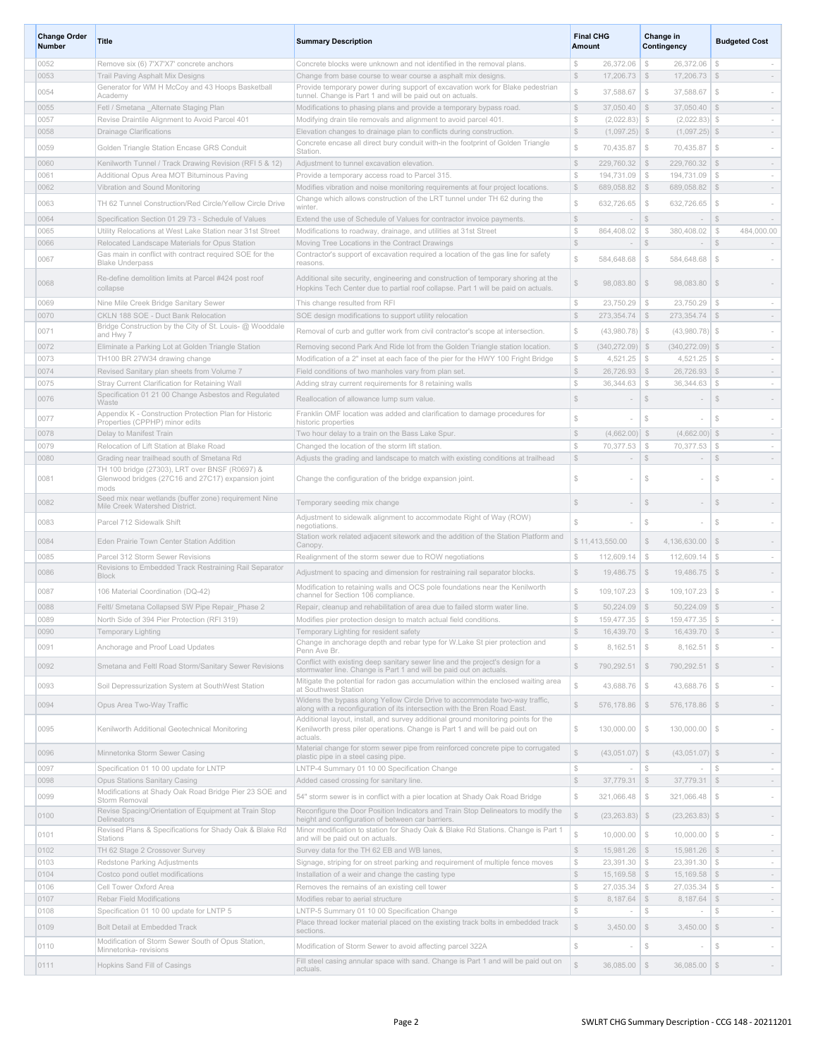| <b>Change Order</b><br>Number | Title                                                                                                     | <b>Summary Description</b>                                                                                                                                                    | <b>Final CHG</b><br><b>Amount</b>                     | Change in<br>Contingency                                         | <b>Budgeted Cost</b>                      |
|-------------------------------|-----------------------------------------------------------------------------------------------------------|-------------------------------------------------------------------------------------------------------------------------------------------------------------------------------|-------------------------------------------------------|------------------------------------------------------------------|-------------------------------------------|
| 0052                          | Remove six (6) 7'X7'X7' concrete anchors                                                                  | Concrete blocks were unknown and not identified in the removal plans.                                                                                                         | S<br>26,372.06                                        | $\mathcal{F}$<br>26,372.06                                       | S.<br>$\sim$                              |
| 0053                          | Trail Paving Asphalt Mix Designs                                                                          | Change from base course to wear course a asphalt mix designs.                                                                                                                 | $\mathbb{S}$<br>$17,206.73$ \$                        | 17,206.73                                                        | $\mathcal{F}$<br>$\sim$                   |
| 0054                          | Generator for WM H McCoy and 43 Hoops Basketball<br>Academy                                               | Provide temporary power during support of excavation work for Blake pedestrian<br>tunnel. Change is Part 1 and will be paid out on actuals.                                   | $\mathbb{S}$<br>37,588.67                             | $\mathbb{S}$<br>37,588.67                                        | $\mathcal{F}$                             |
| 0055                          | Fetl / Smetana Alternate Staging Plan                                                                     | Modifications to phasing plans and provide a temporary bypass road.                                                                                                           | $\mathbb{S}$<br>37.050.40                             | $\mathcal{S}$<br>37,050.40                                       | $\mathcal{S}$                             |
| 0057                          | Revise Draintile Alignment to Avoid Parcel 401                                                            | Modifying drain tile removals and alignment to avoid parcel 401                                                                                                               | $\mathbb{S}$<br>$(2,022.83)$ \$                       | $(2,022.83)$ \$                                                  | $\sim$                                    |
| 0058                          | <b>Drainage Clarifications</b>                                                                            | Elevation changes to drainage plan to conflicts during construction.                                                                                                          | $\mathbb{S}$<br>$(1,097.25)$ \$                       | $(1,097.25)$ \$                                                  | $\sim$                                    |
| 0059                          | Golden Triangle Station Encase GRS Conduit                                                                | Concrete encase all direct bury conduit with-in the footprint of Golden Triangle<br>Station.                                                                                  | $\mathbb{S}$<br>70,435.87                             | $\mathbb{S}$<br>70,435.87                                        | $\mathbb{S}$                              |
| 0060                          | Kenilworth Tunnel / Track Drawing Revision (RFI 5 & 12)                                                   | Adjustment to tunnel excavation elevation.                                                                                                                                    | $\mathbb{S}$<br>229,760.32                            | \$<br>229,760.32                                                 | $\mathcal{F}$<br>$\sim$                   |
| 0061                          | Additional Opus Area MOT Bituminous Paving                                                                | Provide a temporary access road to Parcel 315.                                                                                                                                | ${\mathbb S}$<br>194,731.09                           | $\mathcal{S}$<br>194,731.09                                      | $$\mathbb{S}$$<br>$\sim$                  |
| 0062                          | Vibration and Sound Monitoring                                                                            | Modifies vibration and noise monitoring requirements at four project locations.<br>Change which allows construction of the LRT tunnel under TH 62 during the                  | $\mathbb{S}$<br>689,058.82                            | $\mathcal{S}$<br>689,058.82                                      | $\mathcal{S}$<br>$\sim$                   |
| 0063                          | TH 62 Tunnel Construction/Red Circle/Yellow Circle Drive                                                  | winter                                                                                                                                                                        | $\mathbb{S}$<br>632,726.65                            | $\mathcal{S}$<br>632,726.65                                      | $\mathbb{S}$                              |
| 0064                          | Specification Section 01 29 73 - Schedule of Values                                                       | Extend the use of Schedule of Values for contractor invoice payments.                                                                                                         | $\mathbb{S}$<br>$\sim$                                | $\mathbb{S}$<br>$\sim$                                           | $\mathcal{Z}$<br>$\sim$                   |
| 0065                          | Utility Relocations at West Lake Station near 31st Street                                                 | Modifications to roadway, drainage, and utilities at 31st Street                                                                                                              | $\mathbb{S}$<br>864,408.02                            | $\mathcal{S}$<br>380,408.02                                      | $\mathcal{S}$<br>484,000.00               |
| 0066                          | Relocated Landscape Materials for Opus Station<br>Gas main in conflict with contract required SOE for the | Moving Tree Locations in the Contract Drawings<br>Contractor's support of excavation required a location of the gas line for safety                                           | $\mathbb{S}$<br>$\sim$                                | $\mathbb{S}$<br>$\sim$                                           | $$\mathbb{S}$$<br>$\sim$                  |
| 0067                          | <b>Blake Underpass</b>                                                                                    | reasons                                                                                                                                                                       | Ŝ<br>584,648.68                                       | $\mathcal{S}$<br>584,648.68                                      | $\mathbb{S}$                              |
| 0068                          | Re-define demolition limits at Parcel #424 post roof<br>collapse                                          | Additional site security, engineering and construction of temporary shoring at the<br>Hopkins Tech Center due to partial roof collapse. Part 1 will be paid on actuals.       | $\mathbb{S}$<br>98,083.80                             | \$<br>98,083.80                                                  | $\mathcal{F}$                             |
| 0069                          | Nine Mile Creek Bridge Sanitary Sewer                                                                     | This change resulted from RFI                                                                                                                                                 | $$\mathbb{S}$$<br>23,750.29                           | $\mathcal{F}$<br>23,750.29                                       | S.<br>$\sim$                              |
| 0070                          | CKLN 188 SOE - Duct Bank Relocation                                                                       | SOE design modifications to support utility relocation                                                                                                                        | $$\mathbb{S}$$<br>273,354.74                          | \$<br>273,354.74                                                 | $\mathcal{F}$<br>$\sim$                   |
| 0071                          | Bridge Construction by the City of St. Louis- @ Wooddale<br>and Hwy 7                                     | Removal of curb and gutter work from civil contractor's scope at intersection.                                                                                                | $\mathbb{S}$<br>(43,980.78)                           | - \$<br>(43,980.78)                                              | -S                                        |
| 0072                          | Eliminate a Parking Lot at Golden Triangle Station                                                        | Removing second Park And Ride lot from the Golden Triangle station location.                                                                                                  | $\mathbb{S}$<br>$(340, 272.09)$ \$                    | $(340, 272.09)$ \$                                               | $\sim$                                    |
| 0073                          | TH100 BR 27W34 drawing change                                                                             | Modification of a 2" inset at each face of the pier for the HWY 100 Fright Bridge                                                                                             | $\mathbb{S}$<br>4,521.25                              | $\frac{1}{2}$<br>4,521.25                                        | $\mathcal{L}$<br>$\sim$                   |
| 0074                          | Revised Sanitary plan sheets from Volume 7                                                                | Field conditions of two manholes vary from plan set.                                                                                                                          | $\mathbb{S}$<br>$26,726.93$ \$                        | $26,726.93$ \$                                                   | $\sim$                                    |
| 0075                          | Stray Current Clarification for Retaining Wall<br>Specification 01 21 00 Change Asbestos and Regulated    | Adding stray current requirements for 8 retaining walls                                                                                                                       | $\mathbb{S}$<br>36,344.63                             | $\mathcal{L}$<br>36,344.63                                       | S.<br>$\sim$                              |
| 0076                          | Waste                                                                                                     | Reallocation of allowance lump sum value.                                                                                                                                     | $\mathbb{S}$                                          | $\mathcal{S}$                                                    | $\mathcal{S}$<br>$\overline{\phantom{a}}$ |
| 0077                          | Appendix K - Construction Protection Plan for Historic<br>Properties (CPPHP) minor edits                  | Franklin OMF location was added and clarification to damage procedures for<br>historic properties                                                                             | S                                                     | S                                                                | $$\mathbb{S}$$<br>$\sim$                  |
| 0078                          | Delay to Manifest Train                                                                                   | Two hour delay to a train on the Bass Lake Spur.                                                                                                                              | $$\mathbb{S}$$<br>(4,662.00)                          | $\mathcal{S}$<br>(4,662.00)                                      | $\mathbb{S}$<br>$\sim$                    |
| 0079                          | Relocation of Lift Station at Blake Road                                                                  | Changed the location of the storm lift station                                                                                                                                | $\mathbb{S}$<br>70,377.53                             | $\mathcal{S}$<br>70,377.53                                       | S.<br>$\sim$                              |
| 0080                          | Grading near trailhead south of Smetana Rd<br>TH 100 bridge (27303), LRT over BNSF (R0697) &              | Adjusts the grading and landscape to match with existing conditions at trailhead                                                                                              | $\mathbb{S}$                                          | S                                                                | $\mathcal{S}$<br>$\overline{\phantom{a}}$ |
| 0081                          | Glenwood bridges (27C16 and 27C17) expansion joint<br>mods                                                | Change the configuration of the bridge expansion joint.                                                                                                                       | S                                                     | S.                                                               | S,                                        |
| 0082                          | Seed mix near wetlands (buffer zone) requirement Nine<br>Mile Creek Watershed District.                   | Temporary seeding mix change                                                                                                                                                  | S                                                     | S.                                                               | $\mathcal{S}$                             |
| 0083                          | Parcel 712 Sidewalk Shift                                                                                 | Adjustment to sidewalk alignment to accommodate Right of Way (ROW)<br>negotiations.                                                                                           | \$                                                    | S                                                                | $$\mathbb{S}$$                            |
| 0084                          | Eden Prairie Town Center Station Addition                                                                 | Station work related adjacent sitework and the addition of the Station Platform and<br>Canopy                                                                                 | \$11,413,550.00                                       | $\mathcal{L}$<br>4,136,630.00                                    | $\mathcal{F}$                             |
| 0085                          | Parcel 312 Storm Sewer Revisions                                                                          | Realignment of the storm sewer due to ROW negotiations                                                                                                                        | S<br>112,609.14                                       | $\mathcal{L}$<br>112,609.14                                      | $\mathbb{S}$<br>$\sim$                    |
| 0086                          | Revisions to Embedded Track Restraining Rail Separator<br><b>Block</b>                                    | Adjustment to spacing and dimension for restraining rail separator blocks.                                                                                                    | $\mathbb{S}$<br>19,486.75                             | $\mathcal{F}$<br>19,486.75                                       | $\mathcal{F}$                             |
| 0087                          | 106 Material Coordination (DQ-42)                                                                         | Modification to retaining walls and OCS pole foundations near the Kenilworth<br>channel for Section 106 compliance.                                                           | $\mathbb{S}$<br>109,107.23                            | $\mathcal{F}$<br>109, 107.23                                     | $\mathcal{F}$                             |
| 0088                          | Feltl/ Smetana Collapsed SW Pipe Repair Phase 2                                                           | Repair, cleanup and rehabilitation of area due to failed storm water line.                                                                                                    | $$\mathbb{S}$$<br>$50,224.09$ \$                      | 50,224.09                                                        | \$<br>$\sim$                              |
| 0089                          | North Side of 394 Pier Protection (RFI 319)                                                               | Modifies pier protection design to match actual field conditions.                                                                                                             | $\mathbb{S}$<br>159,477.35                            | $\mathcal{S}$<br>159,477.35                                      | $\mathcal{S}$<br>$\sim$                   |
| 0090                          | Temporary Lighting                                                                                        | Temporary Lighting for resident safety<br>Change in anchorage depth and rebar type for W.Lake St pier protection and                                                          | $\mathcal{Z}$<br>$16,439.70$ \$                       | $16,439.70$ \$                                                   | $\sim$                                    |
| 0091                          | Anchorage and Proof Load Updates                                                                          | Penn Ave Br.                                                                                                                                                                  | $$\mathbb{S}$$<br>$8,162.51$ \$                       | $8,162.51$ \$                                                    |                                           |
| 0092                          | Smetana and Feltl Road Storm/Sanitary Sewer Revisions                                                     | Conflict with existing deep sanitary sewer line and the project's design for a<br>stormwater line. Change is Part 1 and will be paid out on actuals.                          | $\mathbb{S}$<br>790,292.51                            | $\mathcal{S}$<br>790,292.51 \$                                   |                                           |
| 0093                          | Soil Depressurization System at SouthWest Station                                                         | Mitigate the potential for radon gas accumulation within the enclosed waiting area<br>at Southwest Station                                                                    | $\mathbb{S}$<br>43,688.76                             | $$\mathbb{S}$$<br>43,688.76                                      | $\mathcal{S}$<br>$\overline{\phantom{m}}$ |
| 0094                          | Opus Area Two-Way Traffic                                                                                 | Widens the bypass along Yellow Circle Drive to accommodate two-way traffic,<br>along with a reconfiguration of its intersection with the Bren Road East.                      | $\mathbb{S}$<br>$576,178.86$ \ \$                     | $576, 178.86$ \ \$                                               | $\sim$                                    |
| 0095                          | Kenilworth Additional Geotechnical Monitoring                                                             | Additional layout, install, and survey additional ground monitoring points for the<br>Kenilworth press piler operations. Change is Part 1 and will be paid out on<br>actuals. | $\mathbb{S}$<br>$130,000.00$ \$                       | $130,000.00$ \$                                                  | $\sim$                                    |
| 0096                          | Minnetonka Storm Sewer Casing                                                                             | Material change for storm sewer pipe from reinforced concrete pipe to corrugated<br>plastic pipe in a steel casing pipe.                                                      | S<br>$(43,051.07)$ \$                                 | $(43,051.07)$ \$                                                 | $\sim$                                    |
| 0097                          | Specification 01 10 00 update for LNTP                                                                    | LNTP-4 Summary 01 10 00 Specification Change                                                                                                                                  | $\mathbb{S}$                                          | $$\mathbb{S}$$                                                   | ${\mathbb S}$<br>$\sim$                   |
| 0098                          | <b>Opus Stations Sanitary Casing</b>                                                                      | Added cased crossing for sanitary line.                                                                                                                                       | $$\mathbb{S}$$<br>$37,779.31$ \$                      | $37,779.31$ \$                                                   | $\sim$                                    |
| 0099                          | Modifications at Shady Oak Road Bridge Pier 23 SOE and<br>Storm Removal                                   | 54" storm sewer is in conflict with a pier location at Shady Oak Road Bridge                                                                                                  | $\mathbb{S}$<br>321,066.48                            | $\mathcal{S}$<br>321,066.48                                      | $\mathbb{S}$<br>$\overline{\phantom{a}}$  |
| 0100                          | Revise Spacing/Orientation of Equipment at Train Stop<br>Delineators                                      | Reconfigure the Door Position Indicators and Train Stop Delineators to modify the<br>height and configuration of between car barriers.                                        | $\mathbb{S}$<br>$(23, 263.83)$ \$                     | $(23, 263.83)$ \$                                                | $\sim$                                    |
| 0101                          | Revised Plans & Specifications for Shady Oak & Blake Rd<br>Stations                                       | Minor modification to station for Shady Oak & Blake Rd Stations. Change is Part 1<br>and will be paid out on actuals.                                                         | S<br>10,000.00                                        | $$\mathbb{S}$$<br>10,000.00                                      | $\mathcal{L}$<br>$\overline{\phantom{a}}$ |
| 0102                          | TH 62 Stage 2 Crossover Survey                                                                            | Survey data for the TH 62 EB and WB lanes,                                                                                                                                    | $$\mathbb{S}$$<br>15,981.26 \$                        | 15,981.26 \$                                                     | $\sim$                                    |
| 0103                          | Redstone Parking Adjustments                                                                              | Signage, striping for on street parking and requirement of multiple fence moves                                                                                               | $\mathbb{S}$<br>$23,391.30$ \$                        | $23,391.30$ \$                                                   | $\sim$                                    |
| 0104                          | Costco pond outlet modifications                                                                          | Installation of a weir and change the casting type                                                                                                                            | $\mathbb{S}$<br>$15,169.58$ \$                        | $15,169.58$ \$                                                   | $\sim$                                    |
| 0106<br>0107                  | Cell Tower Oxford Area<br>Rebar Field Modifications                                                       | Removes the remains of an existing cell tower<br>Modifies rebar to aerial structure                                                                                           | $\mathbb{S}$<br>27,035.34<br>$\mathbb{S}$<br>8,187.64 | $\mathcal{S}$<br>$27,035.34$ \$<br>$\mathbb{S}$<br>$8,187.64$ \$ | $\sim$<br>$\sim$                          |
| 0108                          | Specification 01 10 00 update for LNTP 5                                                                  | LNTP-5 Summary 01 10 00 Specification Change                                                                                                                                  | $\mathbb{S}$                                          | $$\mathbb{S}$$                                                   | $$\mathbb{S}$$<br>$\sim$                  |
| 0109                          | Bolt Detail at Embedded Track                                                                             | Place thread locker material placed on the existing track bolts in embedded track<br>sections.                                                                                | $\mathbb S$<br>3,450.00                               | $\mathcal{F}$<br>3,450.00                                        | $\mathcal{S}$                             |
| 0110                          | Modification of Storm Sewer South of Opus Station,<br>Minnetonka- revisions                               | Modification of Storm Sewer to avoid affecting parcel 322A                                                                                                                    | $$\mathbb{S}$$                                        | $\mathcal{S}$                                                    | S.<br>$\overline{\phantom{a}}$            |
| 0111                          | Hopkins Sand Fill of Casings                                                                              | Fill steel casing annular space with sand. Change is Part 1 and will be paid out on<br>actuals.                                                                               | \$<br>$36,085.00$ \$                                  | $36,085.00$ \$                                                   | $\sim$                                    |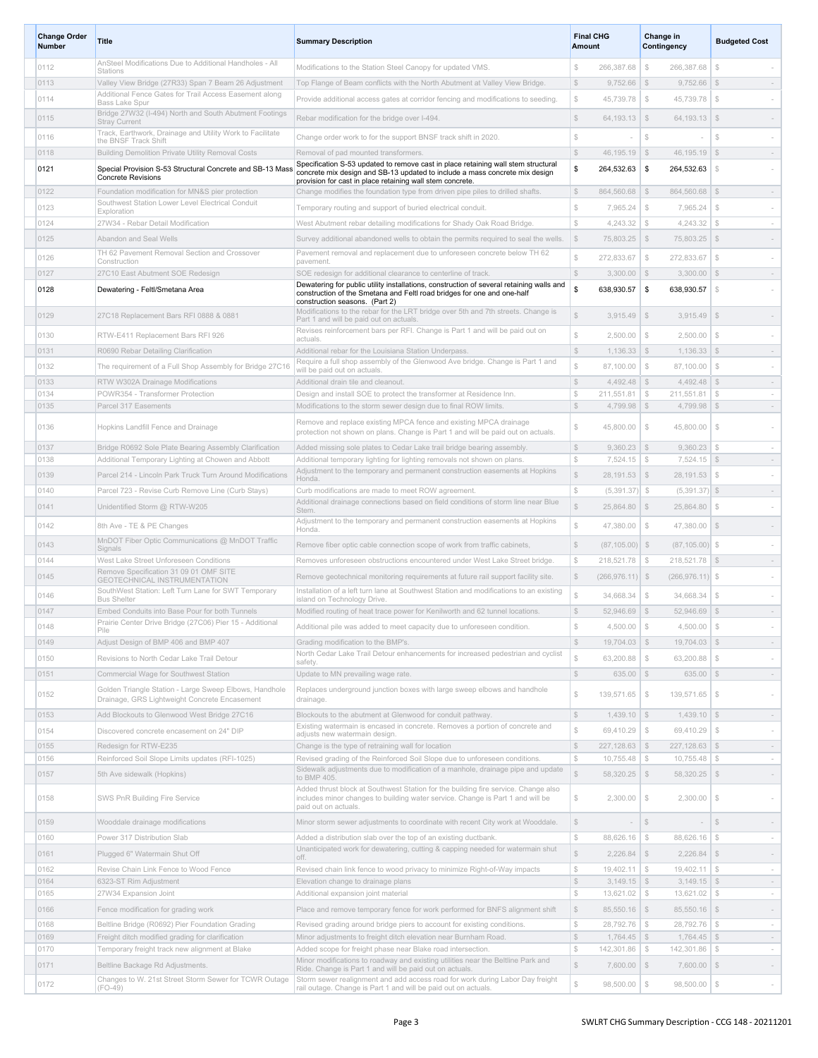| <b>Change Order</b><br>Number | <b>Title</b>                                                                                               | <b>Summary Description</b>                                                                                                                                                                                                    | Amount                       | <b>Final CHG</b><br>Change in<br>Contingency |                                           | <b>Budgeted Cost</b>                               |
|-------------------------------|------------------------------------------------------------------------------------------------------------|-------------------------------------------------------------------------------------------------------------------------------------------------------------------------------------------------------------------------------|------------------------------|----------------------------------------------|-------------------------------------------|----------------------------------------------------|
| 0112                          | AnSteel Modifications Due to Additional Handholes - All<br>Stations                                        | Modifications to the Station Steel Canopy for updated VMS.                                                                                                                                                                    | $$\mathbb{S}$$               | 266,387.68                                   | $\mathcal{L}$<br>266,387.68               | $\mathbb{S}$                                       |
| 0113                          | Valley View Bridge (27R33) Span 7 Beam 26 Adjustment                                                       | Top Flange of Beam conflicts with the North Abutment at Valley View Bridge.                                                                                                                                                   | S                            | 9,752.66                                     | $\mathcal{S}$<br>9,752.66                 | \$                                                 |
| 0114                          | Additional Fence Gates for Trail Access Easement along<br>Bass Lake Spur                                   | Provide additional access gates at corridor fencing and modifications to seeding.                                                                                                                                             | $\mathbb{S}$                 | 45.739.78                                    | $$\delta$$<br>45,739.78                   | $\mathbb{S}$                                       |
| 0115                          | Bridge 27W32 (I-494) North and South Abutment Footings<br><b>Stray Current</b>                             | Rebar modification for the bridge over I-494.                                                                                                                                                                                 | $\mathbb{S}$                 | $64,193.13$ \$                               | $64, 193.13$ \$                           |                                                    |
| 0116                          | Track, Earthwork, Drainage and Utility Work to Facilitate<br>the BNSF Track Shift                          | Change order work to for the support BNSF track shift in 2020.                                                                                                                                                                | $$\mathbb{S}$$               |                                              | $\mathbb{S}$                              | S                                                  |
| 0118                          | Building Demolition Private Utility Removal Costs                                                          | Removal of pad mounted transformers.                                                                                                                                                                                          | $$\mathbb{S}$$               | $46,195.19$ \$                               | 46, 195. 19                               | \$<br>$\sim$                                       |
| 0121                          | Special Provision S-53 Structural Concrete and SB-13 Mass<br><b>Concrete Revisions</b>                     | Specification S-53 updated to remove cast in place retaining wall stem structural<br>concrete mix design and SB-13 updated to include a mass concrete mix design<br>provision for cast in place retaining wall stem concrete. | \$                           | 264,532.63                                   | \$<br>264,532.63                          | $\mathbb{S}$                                       |
| 0122                          | Foundation modification for MN&S pier protection                                                           | Change modifies the foundation type from driven pipe piles to drilled shafts.                                                                                                                                                 | $\mathbb{S}$                 | 864,560.68                                   | $\mathcal{S}$<br>864,560.68               | \$<br>$\sim$                                       |
| 0123                          | Southwest Station Lower Level Electrical Conduit<br>Exploration                                            | Temporary routing and support of buried electrical conduit.                                                                                                                                                                   | $\mathbb{S}$                 | 7,965.24                                     | $\mathcal{S}$<br>7,965.24                 | $\mathbb{S}$                                       |
| 0124                          | 27W34 - Rebar Detail Modification                                                                          | West Abutment rebar detailing modifications for Shady Oak Road Bridge.                                                                                                                                                        | $\mathbb{S}$                 | 4,243.32                                     | $\mathbb{S}$<br>4,243.32                  | $\mathbb{S}$<br>$\sim$                             |
| 0125                          | Abandon and Seal Wells                                                                                     | Survey additional abandoned wells to obtain the permits required to seal the wells.                                                                                                                                           | $$\mathbb{S}$$               | 75,803.25                                    | 75,803.25<br>- \$                         | $\mathcal{S}$                                      |
| 0126                          | TH 62 Pavement Removal Section and Crossover<br>Construction                                               | Pavement removal and replacement due to unforeseen concrete below TH 62<br>pavement.                                                                                                                                          | \$                           | 272,833.67                                   | $\mathcal{L}$<br>272,833.67               | $\mathbb{S}$                                       |
| 0127                          | 27C10 East Abutment SOE Redesign                                                                           | SOE redesign for additional clearance to centerline of track.                                                                                                                                                                 | $\mathbb{S}$                 | $3,300.00$ \\$                               | 3,300.00                                  | \$<br>$\sim$                                       |
| 0128                          | Dewatering - Feltl/Smetana Area                                                                            | Dewatering for public utility installations, construction of several retaining walls and<br>construction of the Smetana and Feltl road bridges for one and one-half<br>construction seasons. (Part 2)                         | \$                           | 638,930.57                                   | \$<br>638.930.57                          | <sup>\$</sup>                                      |
| 0129                          | 27C18 Replacement Bars RFI 0888 & 0881                                                                     | Modifications to the rebar for the LRT bridge over 5th and 7th streets. Change is<br>Part 1 and will be paid out on actuals.                                                                                                  | $\mathbb{S}$                 | 3,915.49                                     | \$<br>3,915.49                            | $\mathcal{S}$                                      |
| 0130                          | RTW-E411 Replacement Bars RFI 926                                                                          | Revises reinforcement bars per RFI. Change is Part 1 and will be paid out on<br>actuals.                                                                                                                                      | $\mathbb{S}$                 | 2,500.00                                     | $\mathcal{L}$<br>2,500.00                 | $$\mathbb{S}$$                                     |
| 0131                          | R0690 Rebar Detailing Clarification                                                                        | Additional rebar for the Louisiana Station Underpass.                                                                                                                                                                         | $\mathcal{L}$                | $1,136.33$ \$                                | 1,136.33                                  | \$<br>$\sim$                                       |
| 0132                          | The requirement of a Full Shop Assembly for Bridge 27C16                                                   | Require a full shop assembly of the Glenwood Ave bridge. Change is Part 1 and<br>will be paid out on actuals.                                                                                                                 | S                            | 87,100.00                                    | $\mathcal{L}$<br>87,100.00                | $\mathbb{S}$                                       |
| 0133                          | RTW W302A Drainage Modifications                                                                           | Additional drain tile and cleanout.                                                                                                                                                                                           | $$\mathbb{S}$$               | 4,492.48                                     | \$<br>4,492.48                            | S<br>$\sim$                                        |
| 0134                          | POWR354 - Transformer Protection                                                                           | Design and install SOE to protect the transformer at Residence Inn.                                                                                                                                                           | $\mathbb{S}$                 | 211,551.81                                   | $\frac{1}{2}$<br>211,551.81               | $\mathbb{S}$<br>$\sim$                             |
| 0135                          | Parcel 317 Easements                                                                                       | Modifications to the storm sewer design due to final ROW limits.                                                                                                                                                              | $$\mathbb{S}$$               | $4,799.98$ \$                                | 4,799.98                                  | \$<br>$\sim$                                       |
| 0136                          | Hopkins Landfill Fence and Drainage                                                                        | Remove and replace existing MPCA fence and existing MPCA drainage<br>protection not shown on plans. Change is Part 1 and will be paid out on actuals.                                                                         | $\mathbb{S}$                 | 45,800.00                                    | $\mathcal{S}$<br>45,800.00                | $\mathbb{S}$                                       |
| 0137                          | Bridge R0692 Sole Plate Bearing Assembly Clarification                                                     | Added missing sole plates to Cedar Lake trail bridge bearing assembly.                                                                                                                                                        | $\mathbb{S}$                 | $9,360.23$ \$                                | 9,360.23                                  | $\mathcal{F}$<br>$\sim$                            |
| 0138                          | Additional Temporary Lighting at Chowen and Abbott                                                         | Additional temporary lighting for lighting removals not shown on plans.<br>Adjustment to the temporary and permanent construction easements at Hopkins                                                                        | $\mathbb{S}$                 | 7,524.15                                     | $\mathcal{L}$<br>7,524.15                 | \$<br>$\sim$                                       |
| 0139                          | Parcel 214 - Lincoln Park Truck Turn Around Modifications                                                  | Honda.                                                                                                                                                                                                                        | $\mathbb{S}$                 | $28,191.53$ \$                               | 28,191.53                                 | $\mathcal{F}$                                      |
| 0140                          | Parcel 723 - Revise Curb Remove Line (Curb Stays)                                                          | Curb modifications are made to meet ROW agreement.<br>Additional drainage connections based on field conditions of storm line near Blue                                                                                       | $\mathbb{S}$                 | $(5,391.37)$ \$                              | $(5,391.37)$ \$                           | $\sim$                                             |
| 0141                          | Unidentified Storm @ RTW-W205                                                                              | Stem.                                                                                                                                                                                                                         | $\mathbb{S}$                 | 25,864.80                                    | $\mathcal{S}$<br>25,864.80                | $\mathcal{Z}$                                      |
| 0142                          | 8th Ave - TE & PE Changes<br>MnDOT Fiber Optic Communications @ MnDOT Traffic                              | Adjustment to the temporary and permanent construction easements at Hopkins<br>Honda.                                                                                                                                         | $\mathbb{S}$                 | 47,380.00                                    | $\mathcal{S}$<br>47,380.00                | $\mathcal{S}$                                      |
| 0143                          | Signals                                                                                                    | Remove fiber optic cable connection scope of work from traffic cabinets,                                                                                                                                                      | $\mathbb{S}$                 | $(87, 105.00)$ \$                            | (87, 105.00)                              | $\mathcal{S}$                                      |
| 0144                          | West Lake Street Unforeseen Conditions<br>Remove Specification 31 09 01 OMF SITE                           | Removes unforeseen obstructions encountered under West Lake Street bridge.                                                                                                                                                    | $\mathbb{S}$                 | 218,521.78                                   | $\mathcal{S}$<br>218,521.78               | \$<br>$\sim$                                       |
| 0145                          | GEOTECHNICAL INSTRUMENTATION<br>SouthWest Station: Left Turn Lane for SWT Temporary                        | Remove geotechnical monitoring requirements at future rail support facility site.<br>Installation of a left turn lane at Southwest Station and modifications to an existing                                                   | $\mathbb{S}$                 | $(266, 976.11)$ \$                           | $(266, 976.11)$ \$                        |                                                    |
| 0146                          | <b>Bus Shelter</b>                                                                                         | island on Technology Drive.                                                                                                                                                                                                   | \$                           | 34,668.34                                    | $\mathcal{S}$<br>34,668.34                | S                                                  |
| 0147                          | Embed Conduits into Base Pour for both Tunnels<br>Prairie Center Drive Bridge (27C06) Pier 15 - Additional | Modified routing of heat trace power for Kenilworth and 62 tunnel locations.                                                                                                                                                  | $$\mathbb{S}$$               | $52,946.69$ \$                               | 52,946.69                                 | \$<br>$\sim$                                       |
| 0148                          | Pile                                                                                                       | Additional pile was added to meet capacity due to unforeseen condition.                                                                                                                                                       |                              | 4,500.00                                     | -5<br>4,500.00                            |                                                    |
| 0149                          | Adjust Design of BMP 406 and BMP 407                                                                       | Grading modification to the BMP's.<br>North Cedar Lake Trail Detour enhancements for increased pedestrian and cyclist                                                                                                         | $$\mathbb{S}$$               | $19,704.03$ \$                               | $19,704.03$ \$                            | $\sim$                                             |
| 0150<br>0151                  | Revisions to North Cedar Lake Trail Detour<br>Commercial Wage for Southwest Station                        | safety.<br>Update to MN prevailing wage rate.                                                                                                                                                                                 | S<br>$\mathbb{S}$            | 63,200.88<br>$635.00$ \$                     | 63,200.88<br>$\mathcal{S}$<br>$635.00$ \$ | $\mathbb{S}$<br>$\overline{\phantom{a}}$<br>$\sim$ |
| 0152                          | Golden Triangle Station - Large Sweep Elbows, Handhole                                                     | Replaces underground junction boxes with large sweep elbows and handhole                                                                                                                                                      | $\mathbb{S}$                 | 139.571.65                                   | $$\mathbb{S}$$<br>139,571.65              | $\mathcal{F}$<br>$\sim$                            |
| 0153                          | Drainage, GRS Lightweight Concrete Encasement<br>Add Blockouts to Glenwood West Bridge 27C16               | drainage.<br>Blockouts to the abutment at Glenwood for conduit pathway.                                                                                                                                                       | $\mathbb{S}$                 | $1,439.10$ \$                                | $1,439.10$ \$                             | $\sim$                                             |
| 0154                          | Discovered concrete encasement on 24" DIP                                                                  | Existing watermain is encased in concrete. Removes a portion of concrete and                                                                                                                                                  | $\mathbb{S}$                 | 69,410.29                                    | 69,410.29<br>$\mathcal{S}$                | $\mathbb{S}$<br>$\overline{\phantom{a}}$           |
| 0155                          | Redesign for RTW-E235                                                                                      | adjusts new watermain design.<br>Change is the type of retraining wall for location                                                                                                                                           | $\mathbb{S}$                 | 227,128.63                                   | $\mathcal{S}$<br>227,128.63               | $\mathcal{S}$<br>$\sim$                            |
| 0156                          | Reinforced Soil Slope Limits updates (RFI-1025)                                                            | Revised grading of the Reinforced Soil Slope due to unforeseen conditions.                                                                                                                                                    | $$\mathbb{S}$$               | 10,755.48                                    | $\mathcal{L}$<br>10,755.48                | $\mathcal{S}$<br>$\sim$                            |
| 0157                          | 5th Ave sidewalk (Hopkins)                                                                                 | Sidewalk adjustments due to modification of a manhole, drainage pipe and update<br>to BMP 405.                                                                                                                                | $\mathbb S$                  | $58,320.25$ \$                               | $58,320.25$ \$                            | $\overline{\phantom{a}}$                           |
| 0158                          | SWS PnR Building Fire Service                                                                              | Added thrust block at Southwest Station for the building fire service. Change also<br>includes minor changes to building water service. Change is Part 1 and will be<br>paid out on actuals.                                  | $\mathbb{S}$                 | 2,300.00                                     | $$\mathbb{S}$$<br>2,300.00                | $\mathcal{S}$<br>$\sim$                            |
| 0159                          | Wooddale drainage modifications                                                                            | Minor storm sewer adjustments to coordinate with recent City work at Wooddale.                                                                                                                                                | $\mathbb{S}$                 |                                              | $\mathbb{S}$                              | $$\mathbb{S}$$<br>$\overline{\phantom{a}}$         |
| 0160                          | Power 317 Distribution Slab                                                                                | Added a distribution slab over the top of an existing ductbank.                                                                                                                                                               | $$\mathbb{S}$$               | 88,626.16                                    | $\mathcal{S}$<br>88,626.16                | $$\mathbb{S}$$<br>$\sim$                           |
| 0161                          | Plugged 6" Watermain Shut Off                                                                              | Unanticipated work for dewatering, cutting & capping needed for watermain shut<br>off.                                                                                                                                        | $\mathbb{S}$                 | $2,226.84$ \$                                | 2,226.84                                  | $\mathcal{S}$<br>$\overline{\phantom{a}}$          |
| 0162                          | Revise Chain Link Fence to Wood Fence                                                                      | Revised chain link fence to wood privacy to minimize Right-of-Way impacts                                                                                                                                                     | $\mathbb{S}$                 | $19,402.11$ \$                               | $19,402.11$ \$                            | $\sim$                                             |
| 0164                          | 6323-ST Rim Adjustment                                                                                     | Elevation change to drainage plans                                                                                                                                                                                            | $$\mathbb{S}$$               | $3,149.15$ \$                                | $3,149.15$ \$                             | $\sim$                                             |
| 0165                          | 27W34 Expansion Joint                                                                                      | Additional expansion joint material                                                                                                                                                                                           | $$\mathbb{S}$$               | $13,621.02$ \$                               | $13,621.02$ \$                            | $\sim$                                             |
| 0166                          | Fence modification for grading work                                                                        | Place and remove temporary fence for work performed for BNFS alignment shift                                                                                                                                                  | $\mathbb{S}$                 | $85,550.16$ \$                               | $85,550.16$ \$                            | $\sim$                                             |
| 0168                          | Beltline Bridge (R0692) Pier Foundation Grading                                                            | Revised grading around bridge piers to account for existing conditions.                                                                                                                                                       | $\mathbb{S}$                 | 28,792.76 \$                                 | 28,792.76 \$                              | $\sim$                                             |
| 0169<br>0170                  | Freight ditch modified grading for clarification<br>Temporary freight track new alignment at Blake         | Minor adjustments to freight ditch elevation near Burnham Road.<br>Added scope for freight phase near Blake road intersection.                                                                                                | $\mathbb{S}$<br>$\mathbb{S}$ | $1,764.45$ \$<br>142,301.86   \$             | $1,764.45$ \$<br>$142,301.86$   \$        | $\sim$<br>$\sim$                                   |
| 0171                          | Beltline Backage Rd Adjustments.                                                                           | Minor modifications to roadway and existing utilities near the Beltline Park and                                                                                                                                              | $\mathbb{S}$                 | $7,600.00$ \$                                | $7,600.00$ \ \$                           | $\sim$                                             |
|                               | Changes to W. 21st Street Storm Sewer for TCWR Outage                                                      | Ride. Change is Part 1 and will be paid out on actuals.<br>Storm sewer realignment and add access road for work during Labor Day freight                                                                                      |                              |                                              |                                           |                                                    |
| 0172                          | (FO-49)                                                                                                    | rail outage. Change is Part 1 and will be paid out on actuals.                                                                                                                                                                | S                            | $98,500.00$ \$                               | $98,500.00$ \$                            | $\sim$                                             |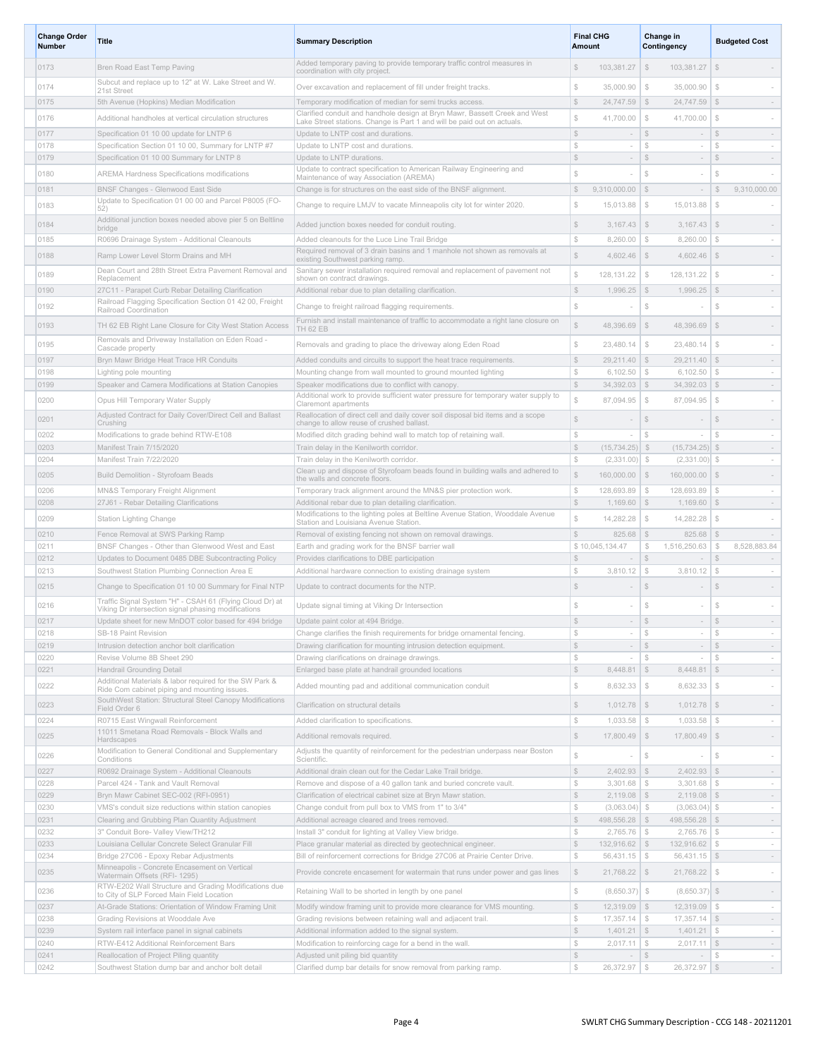| <b>Change Order</b><br>Number | Title                                                                                                        | <b>Summary Description</b>                                                                                                                   |                                | <b>Final CHG</b><br>Amount         |                  |                                  |                              | Change in<br>Contingency |  | <b>Budgeted Cost</b> |  |
|-------------------------------|--------------------------------------------------------------------------------------------------------------|----------------------------------------------------------------------------------------------------------------------------------------------|--------------------------------|------------------------------------|------------------|----------------------------------|------------------------------|--------------------------|--|----------------------|--|
| 0173                          | Bren Road East Temp Paving                                                                                   | Added temporary paving to provide temporary traffic control measures in<br>coordination with city project.                                   | S                              | 103,381.27                         | $\mathcal{S}$    | 103,381.27                       | $\mathbb{S}$                 |                          |  |                      |  |
| 0174                          | Subcut and replace up to 12" at W. Lake Street and W.                                                        | Over excavation and replacement of fill under freight tracks.                                                                                | $$\mathbb{S}$$                 | 35,000.90                          | $\mathcal{S}$    | 35,000.90                        | $\mathbb{S}$                 |                          |  |                      |  |
| 0175                          | 21st Street<br>5th Avenue (Hopkins) Median Modification                                                      | Temporary modification of median for semi trucks access.                                                                                     | $$\mathbb{S}$$                 | $24,747.59$ \$                     |                  | $24,747.59$ \$                   |                              | $\sim$                   |  |                      |  |
| 0176                          | Additional handholes at vertical circulation structures                                                      | Clarified conduit and handhole design at Bryn Mawr, Bassett Creek and West                                                                   | $\mathbb{S}$                   | 41,700.00                          | $\mathcal{L}$    | 41,700.00                        | $$\delta$$                   | $\sim$                   |  |                      |  |
| 0177                          | Specification 01 10 00 update for LNTP 6                                                                     | Lake Street stations. Change is Part 1 and will be paid out on actuals.<br>Update to LNTP cost and durations.                                | $\mathbb{S}$                   | $\sim$                             | $\mathbb{S}$     | $\sim$                           | $\mathbb{S}$                 | $\sim$                   |  |                      |  |
| 0178                          | Specification Section 01 10 00, Summary for LNTP #7                                                          | Update to LNTP cost and durations.                                                                                                           | $\mathbb{S}$                   | $\sim$                             | \$               | $\sim$                           | $$\mathbb{S}$$               | $\sim$                   |  |                      |  |
| 0179                          | Specification 01 10 00 Summary for LNTP 8                                                                    | Update to LNTP durations.<br>Update to contract specification to American Railway Engineering and                                            | \$                             | $\sim$                             | $\mathbb{S}$     | $\sim$                           | $\mathcal{S}$                | $\sim$                   |  |                      |  |
| 0180                          | <b>AREMA Hardness Specifications modifications</b>                                                           | Maintenance of way Association (AREMA)                                                                                                       | $\mathbb{S}$                   |                                    | $$\mathbb{S}$$   |                                  | \$                           |                          |  |                      |  |
| 0181                          | BNSF Changes - Glenwood East Side<br>Update to Specification 01 00 00 and Parcel P8005 (FO-                  | Change is for structures on the east side of the BNSF alignment.                                                                             | $\mathbb{S}$                   | 9,310,000.00                       | $\sqrt{S}$       | $\sim$                           | $$\mathbb{S}$$               | 9,310,000.00             |  |                      |  |
| 0183                          | 52)                                                                                                          | Change to require LMJV to vacate Minneapolis city lot for winter 2020.                                                                       | $\mathbb{S}$                   | 15,013.88                          | $\mathcal{L}$    | 15,013.88                        | $$\mathbb{S}$$               |                          |  |                      |  |
| 0184                          | Additional junction boxes needed above pier 5 on Beltline<br>bridge                                          | Added junction boxes needed for conduit routing.                                                                                             | $$\mathbb{S}$$                 | $3,167.43$ \$                      |                  | 3,167.43                         | $\mathcal{S}$                |                          |  |                      |  |
| 0185                          | R0696 Drainage System - Additional Cleanouts                                                                 | Added cleanouts for the Luce Line Trail Bridge                                                                                               | $\mathbb{S}$                   | 8,260.00                           | $\mathcal{F}$    | 8,260.00                         | $$\tilde$$                   | $\sim$                   |  |                      |  |
| 0188                          | Ramp Lower Level Storm Drains and MH                                                                         | Required removal of 3 drain basins and 1 manhole not shown as removals at<br>existing Southwest parking ramp.                                | \$                             | 4,602.46                           | \$               | 4,602.46                         | $\mathcal{L}$                |                          |  |                      |  |
| 0189                          | Dean Court and 28th Street Extra Pavement Removal and<br>Replacement                                         | Sanitary sewer installation required removal and replacement of pavement not<br>shown on contract drawings.                                  | $\mathbb{S}$                   | 128,131.22                         | $$\mathbb{S}$$   | 128, 131. 22                     | $\mathbb{S}$                 |                          |  |                      |  |
| 0190                          | 27C11 - Parapet Curb Rebar Detailing Clarification                                                           | Additional rebar due to plan detailing clarification.                                                                                        | $\mathbb{S}$                   | $1,996.25$ \$                      |                  | 1,996.25                         | $\mathbb{S}$                 | $\sim$                   |  |                      |  |
| 0192                          | Railroad Flagging Specification Section 01 42 00, Freight<br>Railroad Coordination                           | Change to freight railroad flagging requirements.                                                                                            | $\mathbb{S}$                   |                                    | $\mathcal{S}$    |                                  | $\mathbb{S}$                 |                          |  |                      |  |
| 0193                          | TH 62 EB Right Lane Closure for City West Station Access                                                     | Furnish and install maintenance of traffic to accommodate a right lane closure on                                                            | \$                             | 48,396.69 \$                       |                  | 48,396.69                        | \$                           | $\sim$                   |  |                      |  |
|                               | Removals and Driveway Installation on Eden Road -                                                            | <b>TH 62 EB</b>                                                                                                                              |                                |                                    |                  |                                  |                              |                          |  |                      |  |
| 0195                          | Cascade property                                                                                             | Removals and grading to place the driveway along Eden Road                                                                                   | $\mathbb{S}$                   | 23,480.14                          | $\mathcal{S}$    | 23,480.14                        | $\mathbb{S}$                 |                          |  |                      |  |
| 0197<br>0198                  | Bryn Mawr Bridge Heat Trace HR Conduits<br>Lighting pole mounting                                            | Added conduits and circuits to support the heat trace requirements.<br>Mounting change from wall mounted to ground mounted lighting          | $\mathbb{S}$<br>$\mathbb{S}$   | $29,211.40$ \\$<br>$6,102.50$ \ \$ |                  | $29,211.40$ \$<br>$6,102.50$ \$  |                              | $\sim$<br>$\sim$         |  |                      |  |
| 0199                          | Speaker and Camera Modifications at Station Canopies                                                         | Speaker modifications due to conflict with canopy.                                                                                           | $\mathbb{S}$                   | $34,392.03$ \$                     |                  | $34,392.03$ \$                   |                              | $\sim$                   |  |                      |  |
| 0200                          | Opus Hill Temporary Water Supply                                                                             | Additional work to provide sufficient water pressure for temporary water supply to<br>Claremont apartments                                   | $\mathbb{S}$                   | 87,094.95                          | $\mathcal{L}$    | 87,094.95                        | $$\$                         | $\sim$                   |  |                      |  |
| 0201                          | Adjusted Contract for Daily Cover/Direct Cell and Ballast                                                    | Reallocation of direct cell and daily cover soil disposal bid items and a scope                                                              | S.                             |                                    | $\mathbb{S}$     |                                  | $\mathcal{S}$                |                          |  |                      |  |
| 0202                          | Crushing<br>Modifications to grade behind RTW-E108                                                           | change to allow reuse of crushed ballast.<br>Modified ditch grading behind wall to match top of retaining wall.                              | ${\mathbb S}$                  |                                    | S                |                                  | S                            | $\sim$                   |  |                      |  |
| 0203                          | Manifest Train 7/15/2020                                                                                     | Train delay in the Kenilworth corridor.                                                                                                      | $$\mathbb{S}$$                 | $(15, 734.25)$ \$                  |                  | $(15, 734.25)$ \$                |                              | $\sim$                   |  |                      |  |
| 0204                          | Manifest Train 7/22/2020                                                                                     | Train delay in the Kenilworth corridor                                                                                                       | $$\mathbb{S}$$                 | $(2,331.00)$ \$                    |                  | $(2,331.00)$ \$                  |                              | $\sim$                   |  |                      |  |
| 0205                          | Build Demolition - Styrofoam Beads                                                                           | Clean up and dispose of Styrofoam beads found in building walls and adhered to<br>the walls and concrete floors.                             | $\mathbb{S}$                   | 160,000.00 \$                      |                  | 160,000.00                       | $\mathcal{S}$                |                          |  |                      |  |
| 0206                          | MN&S Temporary Freight Alignment                                                                             | Temporary track alignment around the MN&S pier protection work.                                                                              | $\mathbb{S}$                   | $128,693.89$ \ \$                  |                  | $128,693.89$ \ \$                |                              | $\sim$                   |  |                      |  |
| 0208                          | 27J61 - Rebar Detailing Clarifications                                                                       | Additional rebar due to plan detailing clarification.                                                                                        | $\mathbb{S}$                   | $1,169.60$ \ \$                    |                  | $1,169.60$ \ \$                  |                              | $\sim$                   |  |                      |  |
| 0209                          | Station Lighting Change                                                                                      | Modifications to the lighting poles at Beltline Avenue Station, Wooddale Avenue<br>Station and Louisiana Avenue Station.                     | $\mathbb{S}$                   | 14,282.28                          | $\mathbb{S}$     | 14,282.28                        | $$\$                         |                          |  |                      |  |
| 0210                          | Fence Removal at SWS Parking Ramp                                                                            | Removal of existing fencing not shown on removal drawings.                                                                                   | $\mathbb{S}$                   | $825.68$ \ \$                      |                  | $825.68$ \$                      |                              | $\sim$                   |  |                      |  |
| 0211<br>0212                  | BNSF Changes - Other than Glenwood West and East<br>Updates to Document 0485 DBE Subcontracting Policy       | Earth and grading work for the BNSF barrier wall<br>Provides clarifications to DBE participation                                             | $\mathbb{S}$                   | \$10,045,134.47<br>$\sim$          | \$<br>$\vert$ \$ | 1,516,250.63<br>$\sim$           | $$\delta$$<br>$$\mathbb{S}$$ | 8,528,883.84<br>$\sim$   |  |                      |  |
| 0213                          | Southwest Station Plumbing Connection Area E                                                                 | Additional hardware connection to existing drainage system                                                                                   | S                              | 3,810.12                           | \$               | 3,810.12                         | $\mathcal{S}$                | $\sim$                   |  |                      |  |
| 0215                          | Change to Specification 01 10 00 Summary for Final NTP                                                       | Update to contract documents for the NTP.                                                                                                    | S.                             |                                    | $\mathbb{S}$     |                                  | \$                           |                          |  |                      |  |
| 0216                          | Traffic Signal System "H" - CSAH 61 (Flying Cloud Dr) at                                                     | Update signal timing at Viking Dr Intersection                                                                                               | S                              |                                    | $\mathcal{L}$    |                                  | $\mathbb{S}$                 |                          |  |                      |  |
| 0217                          | Viking Dr intersection signal phasing modifications<br>Update sheet for new MnDOT color based for 494 bridge | Update paint color at 494 Bridge.                                                                                                            |                                |                                    | $\mathcal{S}$    |                                  | $\mathcal{S}$                |                          |  |                      |  |
| 0218                          | SB-18 Paint Revision                                                                                         | Change clarifies the finish requirements for bridge ornamental fencing.                                                                      | $\mathbb{S}$                   | $\sim$                             | $$\mathbb{S}$$   | $\sim$                           | $\mathbb{S}$                 | $\sim$                   |  |                      |  |
| 0219                          | Intrusion detection anchor bolt clarification                                                                | Drawing clarification for mounting intrusion detection equipment.                                                                            | $\mathbb{S}$                   | $\sim$                             | S                | $\sim$                           | $\mathbb{S}$                 | $\sim$                   |  |                      |  |
| 0220<br>0221                  | Revise Volume 8B Sheet 290<br>Handrail Grounding Detail                                                      | Drawing clarifications on drainage drawings.                                                                                                 | $$\mathbb{S}$$<br>$\mathbb{S}$ | $\sim$<br>$8,448.81$ \$            | $$\mathbb{S}$$   | $\sim$<br>$8,448.81$ \$          | $\mathbb{S}$                 | $\sim$<br>$\sim$         |  |                      |  |
| 0222                          | Additional Materials & labor required for the SW Park &                                                      | Enlarged base plate at handrail grounded locations<br>Added mounting pad and additional communication conduit                                | $$\mathbb{S}$$                 | $8,632.33$ \$                      |                  | $8,632.33$ \$                    |                              |                          |  |                      |  |
|                               | Ride Com cabinet piping and mounting issues.<br>SouthWest Station: Structural Steel Canopy Modifications     |                                                                                                                                              |                                |                                    |                  |                                  |                              |                          |  |                      |  |
| 0223                          | Field Order 6                                                                                                | Clarification on structural details                                                                                                          | $\mathbb{S}$                   | $1,012.78$ \ \$                    |                  | $1,012.78$ \$                    |                              | $\sim$                   |  |                      |  |
| 0224                          | R0715 East Wingwall Reinforcement<br>11011 Smetana Road Removals - Block Walls and                           | Added clarification to specifications.                                                                                                       | $\mathbb{S}$                   | $1,033.58$ \ \$                    |                  | 1,033.58                         | $\mathbb{S}$                 | $\sim$                   |  |                      |  |
| 0225                          | Hardscapes                                                                                                   | Additional removals required.                                                                                                                | $\mathbb{S}$                   | $17,800.49$ \$                     |                  | 17,800.49                        | $\mathbb{S}$                 |                          |  |                      |  |
| 0226                          | Modification to General Conditional and Supplementary<br>Conditions                                          | Adjusts the quantity of reinforcement for the pedestrian underpass near Boston<br>Scientific.                                                | $\mathbb{S}$                   |                                    | $\mathbb{S}$     |                                  | $\mathbb{S}$                 | $\sim$                   |  |                      |  |
| 0227                          | R0692 Drainage System - Additional Cleanouts                                                                 | Additional drain clean out for the Cedar Lake Trail bridge.                                                                                  | $\mathbb{S}$                   | $2,402.93$ \$                      |                  | $2,402.93$ \$                    |                              | $\sim$                   |  |                      |  |
| 0228<br>0229                  | Parcel 424 - Tank and Vault Removal<br>Bryn Mawr Cabinet SEC-002 (RFI-0951)                                  | Remove and dispose of a 40 gallon tank and buried concrete vault.<br>Clarification of electrical cabinet size at Bryn Mawr station.          | $\mathbb{S}$<br>$\mathbb{S}$   | $3,301.68$ \ \$<br>$2,119.08$ \$   |                  | $3,301.68$ \ \$<br>$2,119.08$ \$ |                              | $\sim$<br>$\sim$         |  |                      |  |
| 0230                          | VMS's conduit size reductions within station canopies                                                        | Change conduit from pull box to VMS from 1" to 3/4"                                                                                          | $\mathbb{S}$                   | $(3,063.04)$ \$                    |                  | $(3,063.04)$ \$                  |                              | $\sim$                   |  |                      |  |
| 0231                          | Clearing and Grubbing Plan Quantity Adjustment                                                               | Additional acreage cleared and trees removed.                                                                                                | $\mathbb{S}$                   | $498,556.28$ \$                    |                  | $498,556.28$ \$                  |                              | $\sim$                   |  |                      |  |
| 0232                          | 3" Conduit Bore- Valley View/TH212                                                                           | Install 3" conduit for lighting at Valley View bridge.                                                                                       | $\mathbb{S}$                   | $2,765.76$ \$                      |                  | $2,765.76$ \$                    |                              | $\sim$                   |  |                      |  |
| 0233<br>0234                  | Louisiana Cellular Concrete Select Granular Fill<br>Bridge 27C06 - Epoxy Rebar Adjustments                   | Place granular material as directed by geotechnical engineer.<br>Bill of reinforcement corrections for Bridge 27C06 at Prairie Center Drive. | $\mathbb{S}$<br>$\mathbb{S}$   | 132,916.62   \$<br>$56,431.15$ \\$ |                  | 132,916.62 \$<br>$56,431.15$ \$  |                              | $\sim$<br>$\sim$         |  |                      |  |
| 0235                          | Minneapolis - Concrete Encasement on Vertical                                                                | Provide concrete encasement for watermain that runs under power and gas lines                                                                | $\mathbb{S}$                   | $21,768.22$ \$                     |                  | $21,768.22$ \$                   |                              | $\sim$                   |  |                      |  |
|                               | Watermain Offsets (RFI- 1295)<br>RTW-E202 Wall Structure and Grading Modifications due                       |                                                                                                                                              |                                |                                    |                  |                                  |                              |                          |  |                      |  |
| 0236                          | to City of SLP Forced Main Field Location                                                                    | Retaining Wall to be shorted in length by one panel                                                                                          | $\mathbb{S}$                   | $(8,650.37)$ \$                    |                  | $(8,650.37)$ \$                  |                              | $\sim$                   |  |                      |  |
| 0237<br>0238                  | At-Grade Stations: Orientation of Window Framing Unit<br>Grading Revisions at Wooddale Ave                   | Modify window framing unit to provide more clearance for VMS mounting.<br>Grading revisions between retaining wall and adjacent trail.       | $\mathbb{S}$<br>$\mathbb{S}$   | $12,319.09$ \$<br>$17,357.14$ \\$  |                  | $12,319.09$ \$<br>$17,357.14$ \$ |                              | $\sim$<br>$\sim$         |  |                      |  |
| 0239                          | System rail interface panel in signal cabinets                                                               | Additional information added to the signal system.                                                                                           | $\mathbb{S}$                   | $1,401.21$ \$                      |                  | $1,401.21$ \$                    |                              | $\sim$                   |  |                      |  |
| 0240                          | RTW-E412 Additional Reinforcement Bars                                                                       | Modification to reinforcing cage for a bend in the wall.                                                                                     | $\mathbb{S}$                   | $2,017.11$ \$                      |                  | $2,017.11$ \$                    |                              | $\sim$                   |  |                      |  |
| 0241                          | Reallocation of Project Piling quantity                                                                      | Adjusted unit piling bid quantity                                                                                                            | $\mathbb{S}$                   | $ \sqrt{S}$                        |                  | $\sim$                           | $\mathcal{F}$                | $\sim$                   |  |                      |  |
| 0242                          | Southwest Station dump bar and anchor bolt detail                                                            | Clarified dump bar details for snow removal from parking ramp.                                                                               | $\mathbb{S}$                   | $26,372.97$ \$                     |                  | 26,372.97 \$                     |                              | $\sim$                   |  |                      |  |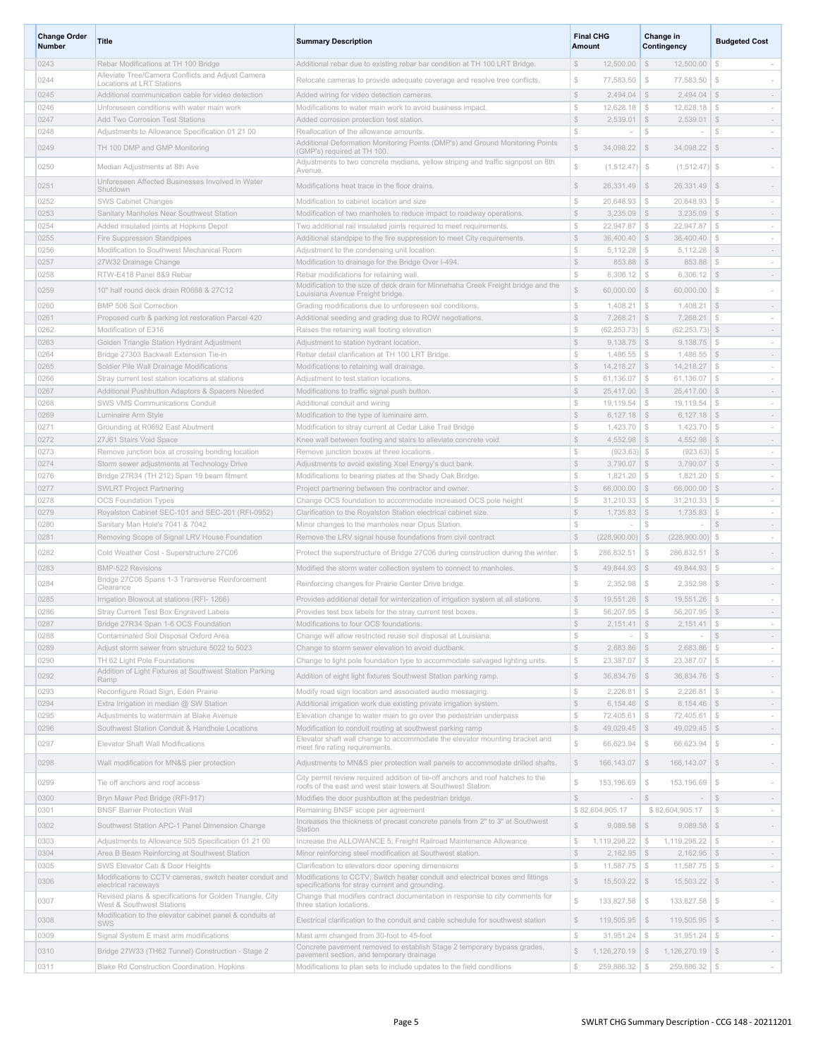| <b>Change Order</b><br><b>Number</b> | Title                                                                                               | <b>Summary Description</b>                                                                                                                       | <b>Final CHG</b><br>Amount                                                    | Change in<br>Contingency                            |                                                   |
|--------------------------------------|-----------------------------------------------------------------------------------------------------|--------------------------------------------------------------------------------------------------------------------------------------------------|-------------------------------------------------------------------------------|-----------------------------------------------------|---------------------------------------------------|
| 0243                                 | Rebar Modifications at TH 100 Bridge                                                                | Additional rebar due to existing rebar bar condition at TH 100 LRT Bridge.                                                                       | $$\mathbb{S}$$<br>12,500.00                                                   | $\mathcal{F}$<br>12,500.00                          | S.<br>$\sim$                                      |
| 0244                                 | Alleviate Tree/Camera Conflicts and Adjust Camera<br>Locations at LRT Stations                      | Relocate cameras to provide adequate coverage and resolve tree conflicts.                                                                        | $\mathbb{S}$<br>77,583.50                                                     | $\mathcal{F}$<br>77,583.50                          | $\mathbb{S}$                                      |
| 0245                                 | Additional communication cable for video detection                                                  | Added wiring for video detection cameras.                                                                                                        | $$\mathbb{S}$$<br>$2,494.04$ \$                                               | 2,494.04                                            | $\mathcal{F}$<br>$\sim$                           |
| 0246                                 | Unforeseen conditions with water main work                                                          | Modifications to water main work to avoid business impact.                                                                                       | $$\mathbb{S}$$<br>$12,628.18$ \ \$                                            | $12,628.18$ \ \$                                    | $\sim$                                            |
| 0247                                 | Add Two Corrosion Test Stations                                                                     | Added corrosion protection test station.                                                                                                         | $$\mathbb{S}$$<br>2.539.01                                                    | $\mathcal{S}$<br>2,539.01                           | $\mathcal{S}$<br>$\sim$                           |
| 0248                                 | Adjustments to Allowance Specification 01 21 00                                                     | Reallocation of the allowance amounts.<br>Additional Deformation Monitoring Points (DMP's) and Ground Monitoring Points                          | $$\mathbb{S}$$                                                                | $$\tilde$$                                          | -S                                                |
| 0249                                 | TH 100 DMP and GMP Monitoring                                                                       | (GMP's) required at TH 100.<br>Adjustments to two concrete medians, yellow striping and traffic signpost on 8th                                  | $$\mathbb{S}$$<br>34,098.22                                                   | \$<br>34,098.22                                     | \$                                                |
| 0250                                 | Median Adjustments at 8th Ave                                                                       | Avenue.                                                                                                                                          | $$\mathbb{S}$$<br>$(1,512.47)$ \$                                             | $(1,512.47)$ \$                                     |                                                   |
| 0251                                 | Unforeseen Affected Businesses Involved in Water<br>Shutdown                                        | Modifications heat trace in the floor drains.                                                                                                    | $\mathbb{S}$<br>$26,331.49$ \$                                                | 26,331.49                                           | $\mathcal{S}$<br>$\sim$                           |
| 0252<br>0253                         | SWS Cabinet Changes<br>Sanitary Manholes Near Southwest Station                                     | Modification to cabinet location and size<br>Modification of two manholes to reduce impact to roadway operations.                                | $\mathbb{S}$<br>20,648.93<br>\$<br>$3,235.09$ \$                              | $\mathbb{S}$<br>20,648.93<br>3,235.09               | $\mathcal{F}$<br>$\sim$<br>$\mathbb{S}$<br>$\sim$ |
| 0254                                 | Added insulated joints at Hopkins Depot                                                             | Two additional rail insulated joints required to meet requirements.                                                                              | $\mathbb{S}$<br>22,947.87                                                     | $\mathcal{F}$<br>22,947.87                          | $$\mathbb{S}$$<br>$\sim$                          |
| 0255                                 | Fire Suppression Standpipes                                                                         | Additional standpipe to the fire suppression to meet City requirements.                                                                          | $\mathcal{S}$<br>$36,400.40$ \$                                               | 36,400.40                                           | $\mathcal{F}$<br>$\sim$                           |
| 0256                                 | Modification to Southwest Mechanical Room                                                           | Adjustment to the condensing unit location.                                                                                                      | \$<br>5,112.28                                                                | $\frac{1}{2}$<br>5,112.28                           | \$<br>$\sim$                                      |
| 0257                                 | 27W32 Drainage Change                                                                               | Modification to drainage for the Bridge Over I-494.                                                                                              | $\mathbb{S}$<br>$853.88$ \ \$                                                 | 853.88                                              | $\mathcal{F}$<br>$\sim$                           |
| 0258                                 | RTW-E418 Panel 8&9 Rebar                                                                            | Rebar modifications for retaining wall.                                                                                                          | $\mathbb{S}$<br>$6,306.12$ \ \$                                               | $6,306.12$ \$                                       | $\sim$                                            |
| 0259                                 | 10" half round deck drain R0688 & 27C12                                                             | Modification to the size of deck drain for Minnehaha Creek Freight bridge and the<br>Louisiana Avenue Freight bridge.                            | Ŝ<br>$60,000.00$ \$                                                           | 60,000.00                                           | $\mathcal{Z}$<br>$\sim$                           |
| 0260                                 | BMP 506 Soil Correction                                                                             | Grading modifications due to unforeseen soil conditions                                                                                          | $$\mathbb{S}$$<br>1.408.21                                                    | $$\delta$$<br>1,408.21                              | \$<br>$\sim$                                      |
| 0261<br>0262                         | Proposed curb & parking lot restoration Parcel 420<br>Modification of E316                          | Additional seeding and grading due to ROW negotiations.<br>Raises the retaining wall footing elevation                                           | $\mathbb{S}$<br>$7,268.21$ \$<br>Ŝ<br>$(62, 253.73)$ \$                       | 7,268.21<br>$(62, 253.73)$ \$                       | $\mathbb{S}$<br>$\sim$<br>$\sim$                  |
| 0263                                 | Golden Triangle Station Hydrant Adjustment                                                          | Adjustment to station hydrant location.                                                                                                          | $\mathcal{S}$<br>$9,138.75$ \$                                                | 9.138.75                                            | $\mathbb{S}$<br>$\sim$                            |
| 0264                                 | Bridge 27303 Backwall Extension Tie-in                                                              | Rebar detail clarification at TH 100 LRT Bridge                                                                                                  | $\mathbb{S}$<br>$1,486.55$ \ \$                                               | 1,486.55                                            | $\mathcal{F}$<br>$\sim$                           |
| 0265                                 | Soldier Pile Wall Drainage Modifications                                                            | Modifications to retaining wall drainage.                                                                                                        | $\mathcal{S}$<br>$14,218.27$ \ \$                                             | $14,218.27$ \$                                      | $\sim$                                            |
| 0266                                 | Stray current test station locations at stations                                                    | Adjustment to test station locations.                                                                                                            | $$\mathbb{S}$$<br>$61,136.07$ \ \$                                            | $61,136.07$ \$                                      | $\sim$                                            |
| 0267                                 | Additional Pushbutton Adaptors & Spacers Needed                                                     | Modifications to traffic signal push button.                                                                                                     | $\mathbb{S}$<br>$25,417.00$ \$                                                | 25,417.00                                           | $\mathcal{F}$<br>$\sim$                           |
| 0268                                 | SWS VMS Communications Conduit                                                                      | Additional conduit and wiring                                                                                                                    | $$\mathbb{S}$$<br>$19,119.54$ \ \$<br>$\mathbb{S}$                            | 19,119.54                                           | $\mathbb{S}$<br>$\sim$                            |
| 0269<br>0271                         | Luminaire Arm Style<br>Grounding at R0692 East Abutment                                             | Modification to the type of luminaire arm.<br>Modification to stray current at Cedar Lake Trail Bridge                                           | $6,127.18$ \$<br>$\mathbb{S}$<br>$1,423.70$ \ \$                              | $6,127.18$ \$<br>1,423.70                           | $\sim$<br>- \$<br>$\sim$                          |
| 0272                                 | 27J61 Stairs Void Space                                                                             | Knee wall between footing and stairs to alleviate concrete void.                                                                                 | $$\mathbb{S}$$<br>$4,552.98$ \$                                               | 4,552.98                                            | $\mathcal{F}$<br>$\sim$                           |
| 0273                                 | Remove junction box at crossing bonding location                                                    | Remove junction boxes at three locations                                                                                                         | $$\mathbb{S}$$<br>$(923.63)$ \$                                               | $(923.63)$ \$                                       | $\sim$                                            |
| 0274                                 | Storm sewer adjustments at Technology Drive                                                         | Adjustments to avoid existing Xcel Energy's duct bank.                                                                                           | $\mathbb{S}$<br>$3,790.07$ \\$                                                | 3,790.07                                            | $\mathcal{F}$<br>$\sim$                           |
| 0276                                 | Bridge 27R34 (TH 212) Span 19 beam fitment                                                          | Modifications to bearing plates at the Shady Oak Bridge.                                                                                         | $$\mathbb{S}$$<br>$1,821.20$ \ \$                                             | $1,821.20$ \ \$                                     | $\sim$                                            |
| 0277<br>0278                         | <b>SWLRT Project Partnering</b>                                                                     | Project partnering between the contractor and owner.                                                                                             | $\mathbb{S}$<br>$66,000.00$ \$<br>$$\mathbb{S}$$                              | 66,000.00                                           | $\mathcal{F}$<br>$\sim$<br>$\sim$                 |
| 0279                                 | <b>OCS Foundation Types</b><br>Royalston Cabinet SEC-101 and SEC-201 (RFI-0952)                     | Change OCS foundation to accommodate increased OCS pole height<br>Clarification to the Royalston Station electrical cabinet size.                | $31,210.33$ $\sqrt{\$}$<br>$\mathbb{S}$<br>$1,735.83$ \\$                     | $31,210.33$ $\sqrt{\$}$<br>1,735.83                 | $\mathbb{S}$<br>$\sim$                            |
| 0280                                 | Sanitary Man Hole's 7041 & 7042                                                                     | Minor changes to the manholes near Opus Station                                                                                                  | S                                                                             | ${\mathbb S}$                                       | \$<br>$\sim$                                      |
| 0281                                 | Removing Scope of Signal LRV House Foundation                                                       | Remove the LRV signal house foundations from civil contract                                                                                      | $\mathbb{S}$<br>$(228,900.00)$ \$                                             | $(228,900.00)$ \$                                   | $\sim$                                            |
| 0282                                 | Cold Weather Cost - Superstructure 27C06                                                            | Protect the superstructure of Bridge 27C06 during construction during the winter.                                                                | $$\$<br>286,832.51                                                            | 286,832.51<br>\$                                    | \$<br>$\sim$                                      |
| 0283                                 | <b>BMP-522 Revisions</b>                                                                            | Modified the storm water collection system to connect to manholes.                                                                               | $\mathbb{S}$<br>49,844.93                                                     | \$<br>49,844.93                                     | $\mathbb{S}$<br>$\sim$                            |
| 0284                                 | Bridge 27C06 Spans 1-3 Transverse Reinforcement<br>Clearance                                        | Reinforcing changes for Prairie Center Drive bridge.                                                                                             | $\mathbb{S}$<br>2,352.98                                                      | $\mathbb{S}$<br>2,352.98                            | $\mathcal{F}$                                     |
| 0285                                 | Irrigation Blowout at stations (RFI- 1266)                                                          | Provides additional detail for winterization of irrigation system at all stations.                                                               | $\mathbb{S}$<br>$19,551.26$ \$                                                | 19,551.26                                           | $\mathbb{S}$<br>$\sim$                            |
| 0286                                 | Stray Current Test Box Engraved Labels                                                              | Provides test box labels for the stray current test boxes.                                                                                       | $\mathbb{S}$<br>56,207.95                                                     | $\mathcal{Z}$<br>56,207.95                          | \$<br>$\sim$                                      |
| 0287<br>0288                         | Bridge 27R34 Span 1-6 OCS Foundation<br>Contaminated Soil Disposal Oxford Area                      | Modifications to four OCS foundations.<br>Change will allow restricted reuse soil disposal at Louisiana.                                         | $2,151.41$ \$<br>$$\mathbb{S}$$<br>$$\mathbb{S}$$<br>$\overline{\phantom{a}}$ | $2,151.41$ \$<br>$\mathbb{S}$<br>$\sim$             | $$\mathbb{S}$$<br>$\sim$                          |
| 0289                                 | Adjust storm sewer from structure 5022 to 5023                                                      | Change to storm sewer elevation to avoid ductbank.                                                                                               | $\mathbb{S}$<br>2,683.86                                                      | $\mathcal{S}$<br>$2,683.86$ \$                      | $\sim$                                            |
| 0290                                 | TH 62 Light Pole Foundations                                                                        | Change to light pole foundation type to accommodate salvaged lighting units.                                                                     | $$\mathbb{S}$$<br>23,387.07                                                   | $\mathbb{S}$<br>23,387.07   \$                      | $\sim$                                            |
| 0292                                 | Addition of Light Fixtures at Southwest Station Parking<br>Ramp                                     | Addition of eight light fixtures Southwest Station parking ramp.                                                                                 | $$\mathbb{S}$$<br>$36,834.76$ \$                                              | 36,834.76 \$                                        | $\overline{\phantom{a}}$                          |
| 0293                                 | Reconfigure Road Sign, Eden Prairie                                                                 | Modify road sign location and associated audio messaging.                                                                                        | $\mathbb{S}$<br>$2,226.81$ \$                                                 | $2,226.81$   \$                                     | $\sim$                                            |
| 0294                                 | Extra Irrigation in median @ SW Station                                                             | Additional irrigation work due existing private irrigation system.                                                                               | $\mathbb{S}$<br>$6,154.46$ \$                                                 | $6,154.46$ \$                                       | $\sim$                                            |
| 0295                                 | Adjustments to watermain at Blake Avenue                                                            | Elevation change to water main to go over the pedestrian underpass                                                                               | $\mathbb{S}$<br>$72,405.61$ \$                                                | $72,405.61$ \$                                      | $\sim$                                            |
| 0296                                 | Southwest Station Conduit & Handhole Locations                                                      | Modification to conduit routing at southwest parking ramp<br>Elevator shaft wall change to accommodate the elevator mounting bracket and         | $\mathbb{S}$<br>$49,029.45$ \$                                                | $49,029.45$ \$                                      | $\sim$                                            |
| 0297                                 | Elevator Shaft Wall Modifications                                                                   | meet fire rating requirements.                                                                                                                   | $\mathbb{S}$<br>66,623.94                                                     | $$\mathbb{S}$$<br>66,623.94                         | $$\mathbb{S}$$<br>$\overline{\phantom{a}}$        |
| 0298                                 | Wall modification for MN&S pier protection                                                          | Adjustments to MN&S pier protection wall panels to accommodate drilled shafts.                                                                   | $\mathbb{S}$<br>166, 143.07                                                   | $\mathcal{Z}$<br>166, 143.07                        | \$<br>$\sim$                                      |
| 0299                                 | Tie off anchors and roof access                                                                     | City permit review required addition of tie-off anchors and roof hatches to the<br>roofs of the east and west stair towers at Southwest Station. | $\mathbb{S}$<br>153,196.69                                                    | $\mathcal{S}$<br>153,196.69                         | $\mathcal{S}$<br>$\overline{\phantom{a}}$         |
| 0300                                 | Bryn Mawr Ped Bridge (RFI-917)                                                                      | Modifies the door pushbutton at the pedestrian bridge.                                                                                           | $$\mathbb{S}$$<br>$\sim$                                                      | $\mathcal{S}$<br>$\sim$                             | \$<br>$\sim$                                      |
| 0301                                 | <b>BNSF Barrier Protection Wall</b>                                                                 | Remaining BNSF scope per agreement<br>Increases the thickness of precast concrete panels from 2" to 3" at Southwest                              | \$82,604,905.17                                                               | \$82,604,905.17                                     | $$\mathbb{S}$$<br>$\sim$                          |
| 0302                                 | Southwest Station APC-1 Panel Dimension Change                                                      | Station                                                                                                                                          | $\mathbb{S}$<br>9,089.58                                                      | $9,089.58$ \$<br>S <sub>3</sub>                     | $\sim$                                            |
| 0303<br>0304                         | Adjustments to Allowance 505 Specification 01 21 00<br>Area B Beam Reinforcing at Southwest Station | Increase the ALLOWANCE 5: Freight Railroad Maintenance Allowance<br>Minor reinforcing steel modification at Southwest station.                   | $$\mathbb{S}$$<br>1,119,298.22<br>$$\mathbb{S}$$<br>$2,162.95$ \$             | $1,119,298.22$ \$<br>$\mathcal{L}$<br>$2,162.95$ \$ | $\sim$<br>$\sim$                                  |
| 0305                                 | SWS Elevator Cab & Door Heights                                                                     | Clarification to elevators door opening dimensions                                                                                               | $\mathbb{S}$<br>$11,587.75$ \$                                                | $11,587.75$ \$                                      | $\sim$                                            |
| 0306                                 | Modifications to CCTV cameras, switch heater conduit and<br>electrical raceways                     | Modifications to CCTV, Switch heater conduit and electrical boxes and fittings<br>specifications for stray current and grounding.                | S<br>$15,503.22$ \$                                                           | $15,503.22$ \$                                      | $\sim$                                            |
| 0307                                 | Revised plans & specifications for Golden Triangle, City<br>West & Southwest Stations               | Change that modifies contract documentation in response to city comments for<br>three station locations.                                         | $\mathbb{S}$<br>133,827.58                                                    | $\mathcal{F}$<br>133,827.58                         | $\mathbb{S}$<br>$\overline{\phantom{a}}$          |
| 0308                                 | Modification to the elevator cabinet panel & conduits at                                            | Electrical clarification to the conduit and cable schedule for southwest station                                                                 | $\mathbb{S}$<br>119,505.95                                                    | $119,505.95$ \$<br>$\mathcal{F}$                    | $\overline{\phantom{a}}$                          |
| 0309                                 | SWS<br>Signal System E mast arm modifications                                                       | Mast arm changed from 30-foot to 45-foot                                                                                                         | $$\mathbb{S}$$<br>31,951.24                                                   | 31,951.24<br>$\mathcal{F}$                          | $\mathbb{S}$<br>$\sim$                            |
| 0310                                 | Bridge 27W33 (TH62 Tunnel) Construction - Stage 2                                                   | Concrete pavement removed to establish Stage 2 temporary bypass grades,<br>pavement section, and temporary drainage                              | $\mathbb{S}$<br>1,126,270.19                                                  | $1,126,270.19$ \$<br>\$                             | $\sim$                                            |
| 0311                                 | Blake Rd Construction Coordination, Hopkins                                                         | Modifications to plan sets to include updates to the field conditions                                                                            | $\mathbb{S}$<br>$259,886.32$ \$                                               | 259,886.32   \$                                     | $\sim$                                            |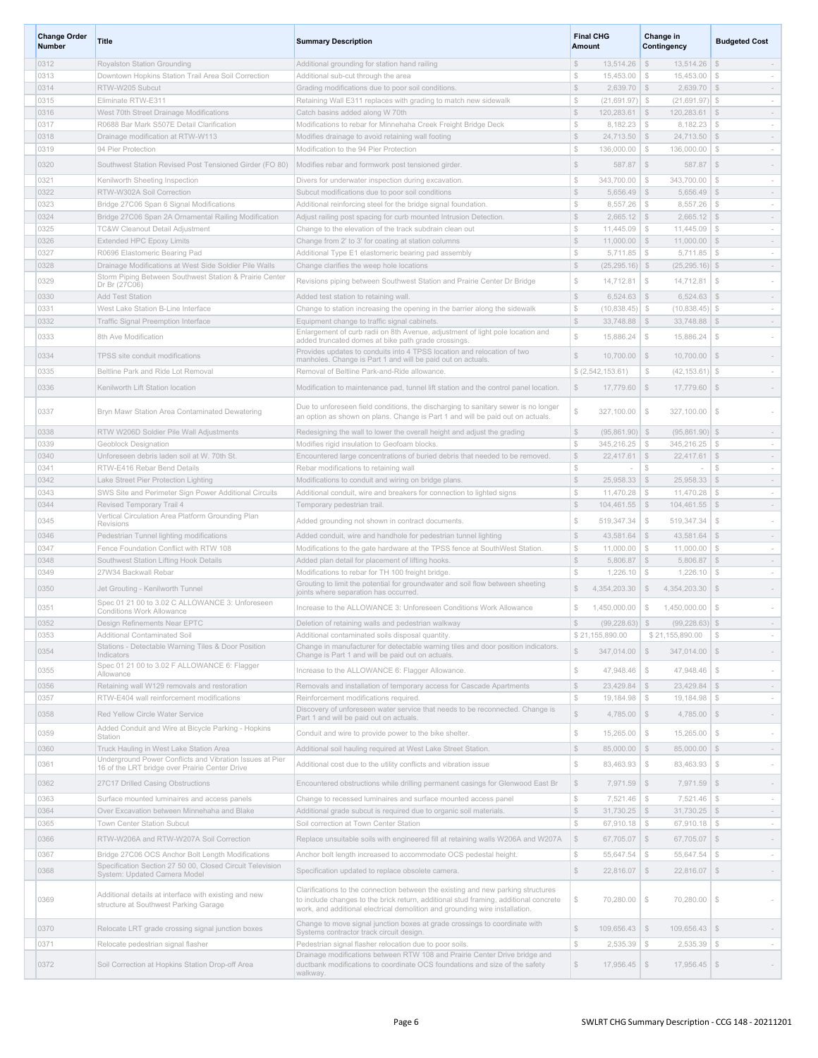| <b>Change Order</b><br><b>Number</b> | Title                                                                                                      | <b>Summary Description</b>                                                                                                                                               | <b>Final CHG</b><br><b>Amount</b>                             | Change in<br>Contingency                   | <b>Budgeted Cost</b>                    |
|--------------------------------------|------------------------------------------------------------------------------------------------------------|--------------------------------------------------------------------------------------------------------------------------------------------------------------------------|---------------------------------------------------------------|--------------------------------------------|-----------------------------------------|
| 0312                                 | Royalston Station Grounding                                                                                | Additional grounding for station hand railing                                                                                                                            | $\mathbb{S}$<br>$13,514.26$ \ \$                              | 13,514.26                                  | $\mathbb{S}$<br>$\sim$                  |
| 0313                                 | Downtown Hopkins Station Trail Area Soil Correction                                                        | Additional sub-cut through the area                                                                                                                                      | S<br>15,453.00                                                | \$<br>15,453.00                            | $\mathbb{S}$<br>$\sim$                  |
| 0314                                 | RTW-W205 Subcut                                                                                            | Grading modifications due to poor soil conditions.                                                                                                                       | $\mathbb{S}$<br>$2,639.70$ \$                                 | $2,639.70$ \$                              | $\sim$                                  |
| 0315                                 | Eliminate RTW-E311                                                                                         | Retaining Wall E311 replaces with grading to match new sidewalk                                                                                                          | $\mathbb{S}$<br>$(21,691.97)$ \$                              | $(21,691.97)$ \$                           | $\sim$                                  |
| 0316                                 | West 70th Street Drainage Modifications                                                                    | Catch basins added along W 70th                                                                                                                                          | $\mathbb{S}$<br>$120,283.61$ \$                               | 120,283.61                                 | <b>S</b><br>$\sim$                      |
| 0317                                 | R0688 Bar Mark S507E Detail Clarification                                                                  | Modifications to rebar for Minnehaha Creek Freight Bridge Deck                                                                                                           | $\mathbb{S}$<br>$8,182.23$ \ \$                               | $8,182.23$ \$                              | $\sim$                                  |
| 0318                                 | Drainage modification at RTW-W113                                                                          | Modifies drainage to avoid retaining wall footing                                                                                                                        | $\mathbb{S}$<br>$24,713.50$ \ \$<br>$$\mathbb{S}$$            | 24,713.50                                  | \$<br>$\sim$                            |
| 0319                                 | 94 Pier Protection                                                                                         | Modification to the 94 Pier Protection                                                                                                                                   | 136,000.00                                                    | <b>S</b><br>136,000.00                     | $\mathbb{S}$<br>$\sim$                  |
| 0320                                 | Southwest Station Revised Post Tensioned Girder (FO 80)                                                    | Modifies rebar and formwork post tensioned girder.                                                                                                                       | $$\mathbb{S}$$<br>587.87                                      | $\sqrt{S}$<br>587.87                       | $\mathcal{S}$                           |
| 0321                                 | Kenilworth Sheeting Inspection                                                                             | Divers for underwater inspection during excavation.                                                                                                                      | -S<br>$343,700.00$ \ \$                                       | $343,700.00$ $\sqrt{\$}$                   | $\sim$                                  |
| 0322                                 | RTW-W302A Soil Correction                                                                                  | Subcut modifications due to poor soil conditions                                                                                                                         | $$\mathbb{S}$$<br>$5,656.49$ \$                               | $5,656.49$ \$                              | $\sim$                                  |
| 0323                                 | Bridge 27C06 Span 6 Signal Modifications                                                                   | Additional reinforcing steel for the bridge signal foundation.                                                                                                           | $$\mathbb{S}$$<br>$8,557.26$ \\$                              | 8,557.26                                   | \$<br>$\sim$                            |
| 0324                                 | Bridge 27C06 Span 2A Ornamental Railing Modification                                                       | Adjust railing post spacing for curb mounted Intrusion Detection.                                                                                                        | $\mathbb{S}$<br>$2,665.12$ \$                                 | $2,665.12$ \$                              | $\sim$                                  |
| 0325                                 | TC&W Cleanout Detail Adjustment                                                                            | Change to the elevation of the track subdrain clean out                                                                                                                  | S<br>$11,445.09$ \ \$                                         | 11,445.09                                  | $\mathbb{S}$<br>$\sim$                  |
| 0326                                 | <b>Extended HPC Epoxy Limits</b>                                                                           | Change from 2' to 3' for coating at station columns                                                                                                                      | $\mathbb{S}$<br>$11,000.00$ \$                                | $11,000.00$ \$                             | $\sim$                                  |
| 0327                                 | R0696 Elastomeric Bearing Pad                                                                              | Additional Type E1 elastomeric bearing pad assembly                                                                                                                      | $$\mathbb{S}$$<br>$5,711.85$ \ \$                             | 5,711.85                                   | S<br>$\sim$                             |
| 0328                                 | Drainage Modifications at West Side Soldier Pile Walls                                                     | Change clarifies the weep hole locations                                                                                                                                 | $\mathbb{S}$<br>$(25, 295.16)$ \$                             | $(25, 295.16)$ \$                          | $\sim$                                  |
| 0329                                 | Storm Piping Between Southwest Station & Prairie Center<br>Dr Br (27C06)                                   | Revisions piping between Southwest Station and Prairie Center Dr Bridge                                                                                                  | $\mathbb{S}$<br>14,712.81                                     | $\mathbb{S}$<br>14,712.81                  | $$\delta$$                              |
| 0330                                 | Add Test Station                                                                                           | Added test station to retaining wall.                                                                                                                                    | $$\mathbb{S}$$<br>$6,524.63$ \$                               | $6,524.63$ \$                              | $\sim$                                  |
| 0331                                 | West Lake Station B-Line Interface                                                                         | Change to station increasing the opening in the barrier along the sidewalk                                                                                               | $\mathbb{S}$<br>$(10,838.45)$ \$                              | $(10,838.45)$ \$                           | $\sim$                                  |
| 0332                                 | Traffic Signal Preemption Interface                                                                        | Equipment change to traffic signal cabinets.                                                                                                                             | $$\mathbb{S}$$<br>$33,748.88$ \ \$                            | 33,748.88                                  | \$<br>$\sim$                            |
| 0333                                 | 8th Ave Modification                                                                                       | Enlargement of curb radii on 8th Avenue, adjustment of light pole location and                                                                                           | $\mathbb{S}$<br>15,886.24                                     | $\mathbb{S}$<br>15,886.24                  | $$\delta$$<br>$\sim$                    |
|                                      |                                                                                                            | added truncated domes at bike path grade crossings.<br>Provides updates to conduits into 4 TPSS location and relocation of two                                           |                                                               |                                            |                                         |
| 0334                                 | TPSS site conduit modifications                                                                            | manholes. Change is Part 1 and will be paid out on actuals.                                                                                                              | $\mathbb{S}$<br>$10,700.00$ \ \$                              | 10,700.00                                  | $\mathcal{L}$                           |
| 0335                                 | Beltline Park and Ride Lot Removal                                                                         | Removal of Beltline Park-and-Ride allowance.                                                                                                                             | \$(2, 542, 153.61)                                            | $$\tilde$$<br>(42, 153.61)                 | S.<br>$\sim$                            |
| 0336                                 | Kenilworth Lift Station location                                                                           | Modification to maintenance pad, tunnel lift station and the control panel location.                                                                                     | $\mathbb{S}$<br>$17,779.60$ \$                                | 17,779.60 \$                               |                                         |
| 0337                                 | Bryn Mawr Station Area Contaminated Dewatering                                                             | Due to unforeseen field conditions, the discharging to sanitary sewer is no longer<br>an option as shown on plans. Change is Part 1 and will be paid out on actuals.     | \$<br>327,100.00                                              | $$\tilde$$<br>327,100.00                   | $$\delta$$                              |
| 0338                                 | RTW W206D Soldier Pile Wall Adjustments                                                                    | Redesigning the wall to lower the overall height and adjust the grading                                                                                                  | $\mathbb{S}$<br>$(95,861.90)$ \$                              | $(95,861.90)$ \$                           | $\sim$                                  |
| 0339                                 | Geoblock Designation                                                                                       | Modifies rigid insulation to Geofoam blocks                                                                                                                              | $\mathbb{S}$<br>$345,216.25$ \ \$                             | 345,216.25                                 | $\mathbb{S}$                            |
| 0340                                 | Unforeseen debris laden soil at W. 70th St.                                                                | Encountered large concentrations of buried debris that needed to be removed.                                                                                             | $\mathbb{S}$<br>$22,417.61$ \$                                | 22,417.61                                  | $\mathcal{S}$<br>$\sim$                 |
| 0341                                 | RTW-E416 Rebar Bend Details                                                                                | Rebar modifications to retaining wall                                                                                                                                    | $$\mathbb{S}$$<br>$\sim$                                      | ${\mathbb S}$                              | \$                                      |
| 0342                                 | Lake Street Pier Protection Lighting                                                                       | Modifications to conduit and wiring on bridge plans.                                                                                                                     | $\mathbb{S}$<br>$25,958.33$ \$                                | $25,958.33$ \$                             | $\sim$                                  |
| 0343                                 | SWS Site and Perimeter Sign Power Additional Circuits                                                      | Additional conduit, wire and breakers for connection to lighted signs                                                                                                    | S<br>$11,470.28$ \ \$                                         | $11,470.28$ \ \$                           | $\sim$                                  |
| 0344                                 | Revised Temporary Trail 4                                                                                  | Temporary pedestrian trail.                                                                                                                                              | $\mathbb{S}$<br>$104,461.55$ \ \$                             | 104,461.55                                 | \$<br>$\sim$                            |
| 0345                                 | Vertical Circulation Area Platform Grounding Plan<br>Revisions                                             | Added grounding not shown in contract documents.                                                                                                                         | $$\mathbb{S}$$<br>519,347.34                                  | $\mathcal{F}$<br>519,347.34                | $\mathbb{S}$<br>$\sim$                  |
| 0346                                 | Pedestrian Tunnel lighting modifications                                                                   | Added conduit, wire and handhole for pedestrian tunnel lighting                                                                                                          | $$\mathbb{S}$$<br>$43,581.64$ \$                              | $43,581.64$ \$                             | $\sim$                                  |
| 0347                                 | Fence Foundation Conflict with RTW 108                                                                     | Modifications to the gate hardware at the TPSS fence at SouthWest Station.                                                                                               | $$\mathbb{S}$$<br>$11,000.00$   \$                            | $11,000.00$   \$                           |                                         |
| 0348                                 | Southwest Station Lifting Hook Details                                                                     | Added plan detail for placement of lifting hooks.                                                                                                                        | $\mathbb{S}$<br>5,806.87                                      | $\sqrt{S}$<br>5,806.87                     | $\mathcal{L}$<br>$\sim$                 |
| 0349                                 | 27W34 Backwall Rebar                                                                                       | Modifications to rebar for TH 100 freight bridge.                                                                                                                        | S<br>$1,226.10$ \ \$                                          | $1,226.10$ \ \$                            |                                         |
| 0350                                 | Jet Grouting - Kenilworth Tunnel                                                                           | Grouting to limit the potential for groundwater and soil flow between sheeting<br>joints where separation has occurred.                                                  | S<br>4.354.203.30                                             | \$<br>4,354,203.30                         | $\mathcal{S}$                           |
| 0351                                 | Spec 01 21 00 to 3.02 C ALLOWANCE 3: Unforeseen                                                            | Increase to the ALLOWANCE 3: Unforeseen Conditions Work Allowance                                                                                                        | $1,450,000.00$   \$<br>\$                                     | 1,450,000.00                               | $\mathbb{S}$                            |
| 0352                                 | <b>Conditions Work Allowance</b><br>Design Refinements Near EPTC                                           | Deletion of retaining walls and pedestrian walkway                                                                                                                       | $\Im$<br>$(99, 228.63)$ \$                                    | (99, 228.63)                               | $\mathbb{S}$                            |
| 0353                                 | Additional Contaminated Soil                                                                               | Additional contaminated soils disposal quantity.                                                                                                                         | \$21,155,890.00                                               | \$21,155,890.00                            | $$\mathbb{S}$$<br>$\sim$                |
| 0354                                 | Stations - Detectable Warning Tiles & Door Position<br>Indicators                                          | Change in manufacturer for detectable warning tiles and door position indicators.<br>Change is Part 1 and will be paid out on actuals                                    | $$\mathbb{S}$$<br>347,014.00                                  | $347,014.00$ \$<br>$\mathcal{L}$           |                                         |
| 0355                                 | Spec 01 21 00 to 3.02 F ALLOWANCE 6: Flagger<br>Allowance                                                  | Increase to the ALLOWANCE 6: Flagger Allowance.                                                                                                                          | $$\mathbb{S}$$<br>47.948.46                                   | $$\mathbb{S}$$<br>47.948.46                | $\mathbb{S}$<br>$\sim$                  |
| 0356                                 | Retaining wall W129 removals and restoration                                                               | Removals and installation of temporary access for Cascade Apartments                                                                                                     | $$\mathbb{S}$$<br>$23,429.84$ \$                              | $23,429.84$ \$                             | $\sim$                                  |
| 0357                                 | RTW-E404 wall reinforcement modifications                                                                  | Reinforcement modifications required.                                                                                                                                    | $$\mathbb{S}$$<br>19,184.98                                   | $$\mathbb{S}$$<br>19,184.98                | $\mathbb{S}$<br>$\sim$                  |
| 0358                                 | Red Yellow Circle Water Service<br>Added Conduit and Wire at Bicycle Parking - Hopkins                     | Discovery of unforeseen water service that needs to be reconnected. Change is<br>Part 1 and will be paid out on actuals.                                                 | $$\mathbb{S}$$<br>$4,785.00$ \\$                              | $4,785.00$ \$                              |                                         |
| 0359                                 | Station                                                                                                    | Conduit and wire to provide power to the bike shelter.                                                                                                                   | \$<br>$15,265.00$ \$                                          | 15,265.00                                  | $\mathbb{S}$<br>$\sim$                  |
| 0360                                 | Truck Hauling in West Lake Station Area                                                                    | Additional soil hauling required at West Lake Street Station.                                                                                                            | $\mathbb{S}$<br>85,000.00 \$                                  | $85,000.00$ \$                             | $\sim$                                  |
| 0361                                 | Underground Power Conflicts and Vibration Issues at Pier<br>16 of the LRT bridge over Prairie Center Drive | Additional cost due to the utility conflicts and vibration issue                                                                                                         | $$\mathbb{S}$$<br>$83,463.93$ \$                              | $83,463.93$ \$                             |                                         |
| 0362                                 | 27C17 Drilled Casing Obstructions                                                                          | Encountered obstructions while drilling permanent casings for Glenwood East Br                                                                                           | $\mathbb{S}$<br>$7,971.59$ \$                                 | $7,971.59$ \$                              | $\sim$                                  |
| 0363                                 | Surface mounted luminaires and access panels                                                               | Change to recessed luminaires and surface mounted access panel                                                                                                           | $\mathbb{S}$<br>7,521.46                                      | $\mathcal{S}$<br>7,521.46                  | $\mathbb{S}$<br>$\sim$                  |
| 0364                                 | Over Excavation between Minnehaha and Blake                                                                | Additional grade subcut is required due to organic soil materials.                                                                                                       | $\mathbb{S}$<br>$31,730.25$ \$                                | $31,730.25$ \$                             | $\sim$                                  |
| 0365                                 | Town Center Station Subcut                                                                                 | Soil correction at Town Center Station                                                                                                                                   | $$\mathbb{S}$$<br>$67,910.18$ \$                              | $67,910.18$ \$                             | $\sim$                                  |
| 0366<br>0367                         | RTW-W206A and RTW-W207A Soil Correction<br>Bridge 27C06 OCS Anchor Bolt Length Modifications               | Replace unsuitable soils with engineered fill at retaining walls W206A and W207A<br>Anchor bolt length increased to accommodate OCS pedestal height.                     | $\mathbb{S}$<br>$67,705.07$ \$<br>$$\mathbb{S}$$<br>55,647.54 | 67,705.07 \$<br>${\mathbb S}$<br>55,647.54 | $\overline{\phantom{a}}$<br>S<br>$\sim$ |
| 0368                                 | Specification Section 27 50 00, Closed Circuit Television                                                  | Specification updated to replace obsolete camera.                                                                                                                        | $\mathbb{S}$<br>$22,816.07$ \$                                | 22,816.07 \$                               | $\sim$                                  |
| 0369                                 | System: Updated Camera Model<br>Additional details at interface with existing and new                      | Clarifications to the connection between the existing and new parking structures<br>to include changes to the brick return, additional stud framing, additional concrete | \$<br>70,280.00                                               | $\mathbb{S}$<br>70,280.00                  | $$\delta$$<br>$\sim$                    |
|                                      | structure at Southwest Parking Garage                                                                      | work, and additional electrical demolition and grounding wire installation.                                                                                              |                                                               |                                            |                                         |
| 0370                                 | Relocate LRT grade crossing signal junction boxes                                                          | Change to move signal junction boxes at grade crossings to coordinate with<br>Systems contractor track circuit design.                                                   | $$\mathbb{S}$$<br>$109,656.43$ \$                             | $109,656.43$ \$                            |                                         |
| 0371                                 | Relocate pedestrian signal flasher                                                                         | Pedestrian signal flasher relocation due to poor soils.                                                                                                                  | $\mathbb{S}$<br>$2,535.39$ \$                                 | $2,535.39$ \$                              | $\sim$                                  |
| 0372                                 | Soil Correction at Hopkins Station Drop-off Area                                                           | Drainage modifications between RTW 108 and Prairie Center Drive bridge and<br>ductbank modifications to coordinate OCS foundations and size of the safety<br>walkway.    | $$\mathbb{S}$$<br>$17,956.45$ \$                              | $17,956.45$ \$                             |                                         |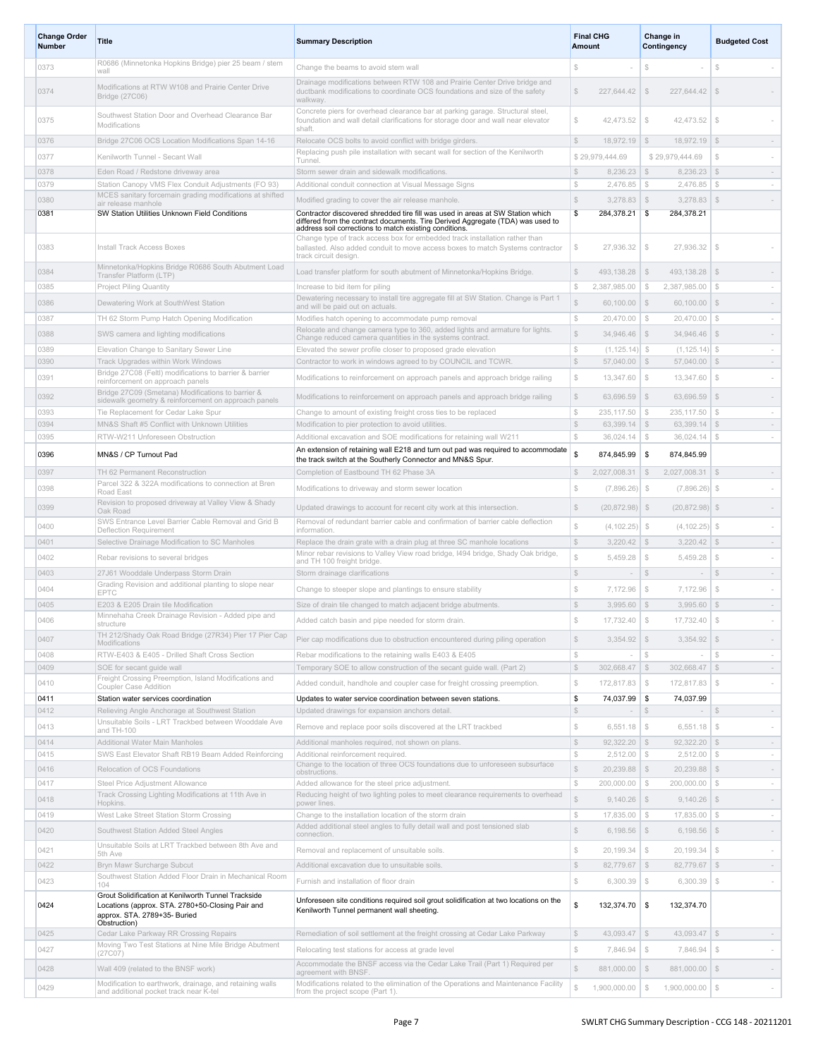| <b>Change Order</b><br><b>Number</b> | <b>Title</b>                                                                                                                                            | <b>Summary Description</b>                                                                                                                                                                                                 | <b>Final CHG</b><br>Amount                          | Change in<br>Contingency                                 | <b>Budgeted Cost</b>                     |
|--------------------------------------|---------------------------------------------------------------------------------------------------------------------------------------------------------|----------------------------------------------------------------------------------------------------------------------------------------------------------------------------------------------------------------------------|-----------------------------------------------------|----------------------------------------------------------|------------------------------------------|
| 0373                                 | R0686 (Minnetonka Hopkins Bridge) pier 25 beam / stem<br>wall                                                                                           | Change the beams to avoid stem wall                                                                                                                                                                                        | Ŝ                                                   | $\mathfrak{L}$                                           | S                                        |
| 0374                                 | Modifications at RTW W108 and Prairie Center Drive<br>Bridge (27C06)                                                                                    | Drainage modifications between RTW 108 and Prairie Center Drive bridge and<br>ductbank modifications to coordinate OCS foundations and size of the safety<br>walkway                                                       | S<br>227,644.42                                     | $\mathcal{L}$<br>227,644.42                              | \$                                       |
| 0375                                 | Southwest Station Door and Overhead Clearance Bar<br>Modifications                                                                                      | Concrete piers for overhead clearance bar at parking garage. Structural steel,<br>foundation and wall detail clarifications for storage door and wall near elevator<br>shaft.                                              | \$<br>42,473.52                                     | $\mathcal{L}$<br>42,473.52                               | $\mathcal{L}$                            |
| 0376                                 | Bridge 27C06 OCS Location Modifications Span 14-16                                                                                                      | Relocate OCS bolts to avoid conflict with bridge girders.                                                                                                                                                                  | $\mathbb{S}$<br>18,972.19                           | 18,972.19<br>$\mathbb{S}$                                | \$<br>$\sim$                             |
| 0377                                 | Kenilworth Tunnel - Secant Wall                                                                                                                         | Replacing push pile installation with secant wall for section of the Kenilworth<br>Tunnel                                                                                                                                  | \$29,979,444.69                                     | \$29.979.444.69                                          | <sup>\$</sup>                            |
| 0378                                 | Eden Road / Redstone driveway area                                                                                                                      | Storm sewer drain and sidewalk modifications.                                                                                                                                                                              | \$<br>8,236.23                                      | $\mathbb{S}$<br>8,236.23                                 | $\mathcal{S}$                            |
| 0379                                 | Station Canopy VMS Flex Conduit Adjustments (FO 93)                                                                                                     | Additional conduit connection at Visual Message Signs                                                                                                                                                                      | $$\mathbb{S}$$<br>2,476.85                          | $$\mathbb{S}$$<br>2.476.85                               | $\mathbb{S}$<br>$\sim$                   |
| 0380                                 | MCES sanitary forcemain grading modifications at shifted<br>air release manhole                                                                         | Modified grading to cover the air release manhole.                                                                                                                                                                         | \$<br>3,278.83                                      | \$<br>3,278.83                                           | $\mathbb{S}$                             |
| 0381                                 | SW Station Utilities Unknown Field Conditions                                                                                                           | Contractor discovered shredded tire fill was used in areas at SW Station which<br>differed from the contract documents. Tire Derived Aggregate (TDA) was used to<br>address soil corrections to match existing conditions. | \$<br>284,378.21                                    | 284,378.21<br>-\$                                        |                                          |
| 0383                                 | Install Track Access Boxes                                                                                                                              | Change type of track access box for embedded track installation rather than<br>ballasted. Also added conduit to move access boxes to match Systems contractor<br>track circuit design                                      | $\mathbb{S}$<br>27,936.32                           | $\mathbb{S}$<br>27,936.32                                | $\mathcal{S}$                            |
| 0384                                 | Minnetonka/Hopkins Bridge R0686 South Abutment Load<br>Transfer Platform (LTP)                                                                          | Load transfer platform for south abutment of Minnetonka/Hopkins Bridge.                                                                                                                                                    | S<br>493,138.28                                     | 493,138.28<br>$\mathbb{S}$                               | $\mathcal{F}$                            |
| 0385                                 | Project Piling Quantity                                                                                                                                 | Increase to bid item for piling                                                                                                                                                                                            | $\mathbb{S}$<br>2,387,985.00                        | 2,387,985.00<br>\$                                       | $\mathcal{L}$<br>$\sim$                  |
| 0386                                 | Dewatering Work at SouthWest Station                                                                                                                    | Dewatering necessary to install tire aggregate fill at SW Station. Change is Part 1<br>and will be paid out on actuals.                                                                                                    | \$<br>60.100.00                                     | \$<br>$60,100.00$ \$                                     |                                          |
| 0387                                 | TH 62 Storm Pump Hatch Opening Modification                                                                                                             | Modifies hatch opening to accommodate pump removal                                                                                                                                                                         | $\mathbb{S}$<br>20,470.00                           | S.<br>20,470.00                                          | $\mathbb{S}$<br>$\sim$                   |
| 0388                                 | SWS camera and lighting modifications                                                                                                                   | Relocate and change camera type to 360, added lights and armature for lights.<br>Change reduced camera quantities in the systems contract.                                                                                 | $\mathbb{S}$<br>34.946.46                           | $\mathcal{S}$<br>34,946.46                               | $\mathcal{S}$                            |
| 0389                                 | Elevation Change to Sanitary Sewer Line                                                                                                                 | Elevated the sewer profile closer to proposed grade elevation                                                                                                                                                              | $\mathbb{S}$<br>$(1, 125.14)$ \$                    | (1, 125.14)                                              | $\mathbb{S}$<br>$\sim$                   |
| 0390                                 | Track Upgrades within Work Windows                                                                                                                      | Contractor to work in windows agreed to by COUNCIL and TCWR                                                                                                                                                                | $\mathbb{S}$<br>57,040.00                           | \$<br>57,040.00                                          | $\mathcal{F}$<br>$\sim$                  |
| 0391                                 | Bridge 27C08 (Feltl) modifications to barrier & barrier<br>reinforcement on approach panels<br>Bridge 27C09 (Smetana) Modifications to barrier &        | Modifications to reinforcement on approach panels and approach bridge railing                                                                                                                                              | $$\mathbb{S}$$<br>13,347.60                         | $\mathbb{S}$<br>13,347.60                                | $\mathbb{S}$                             |
| 0392                                 | sidewalk geometry & reinforcement on approach panels                                                                                                    | Modifications to reinforcement on approach panels and approach bridge railing                                                                                                                                              | $$\mathbb{S}$$<br>63,696.59                         | $\mathcal{S}$<br>63,696.59                               | $\mathcal{F}$                            |
| 0393<br>0394                         | Tie Replacement for Cedar Lake Spur<br>MN&S Shaft #5 Conflict with Unknown Utilities                                                                    | Change to amount of existing freight cross ties to be replaced<br>Modification to pier protection to avoid utilities.                                                                                                      | $\mathbb{S}$<br>235,117.50<br>S<br>63,399.14        | $\mathcal{L}$<br>235,117.50<br>$\mathbb{S}$<br>63,399.14 | S<br>$\sim$<br>$$\mathbb{S}$$<br>$\sim$  |
| 0395                                 | RTW-W211 Unforeseen Obstruction                                                                                                                         | Additional excavation and SOE modifications for retaining wall W211                                                                                                                                                        | $\mathbb{S}$<br>36,024.14                           | $\mathcal{S}$<br>36,024.14                               | $\mathbb{S}$<br>$\sim$                   |
| 0396                                 | MN&S / CP Turnout Pad                                                                                                                                   | An extension of retaining wall E218 and turn out pad was required to accommodate<br>the track switch at the Southerly Connector and MN&S Spur.                                                                             | \$<br>874,845.99                                    | \$<br>874,845.99                                         |                                          |
| 0397                                 | TH 62 Permanent Reconstruction                                                                                                                          | Completion of Eastbound TH 62 Phase 3A                                                                                                                                                                                     | $\mathbb{S}$<br>2,027,008.31                        | $\mathcal{F}$<br>2,027,008.31                            | $\mathcal{F}$<br>$\sim$                  |
| 0398                                 | Parcel 322 & 322A modifications to connection at Bren<br>Road East                                                                                      | Modifications to driveway and storm sewer location                                                                                                                                                                         | S<br>(7,896.26)                                     | (7,896.26)<br>\$                                         | S                                        |
| 0399                                 | Revision to proposed driveway at Valley View & Shady<br>Oak Road                                                                                        | Updated drawings to account for recent city work at this intersection.                                                                                                                                                     | S<br>$(20,872.98)$ \$                               | $(20,872.98)$ \$                                         |                                          |
| 0400                                 | SWS Entrance Level Barrier Cable Removal and Grid B<br>Deflection Requirement                                                                           | Removal of redundant barrier cable and confirmation of barrier cable deflection<br>information.                                                                                                                            | $\mathbb{S}$<br>(4, 102.25)                         | $\mathcal{F}$<br>(4, 102.25)                             | S.                                       |
| 0401                                 | Selective Drainage Modification to SC Manholes                                                                                                          | Replace the drain grate with a drain plug at three SC manhole locations                                                                                                                                                    | $\mathbb{S}$<br>3,220.42                            | \$<br>3,220.42                                           | $\mathcal{L}$<br>$\sim$                  |
| 0402                                 | Rebar revisions to several bridges                                                                                                                      | Minor rebar revisions to Valley View road bridge, I494 bridge, Shady Oak bridge,<br>and TH 100 freight bridge.                                                                                                             | Ŝ<br>5,459.28                                       | <sup>\$</sup><br>5,459.28                                | $\mathcal{S}$                            |
| 0403                                 | 27J61 Wooddale Underpass Storm Drain<br>Grading Revision and additional planting to slope near                                                          | Storm drainage clarifications                                                                                                                                                                                              | $$\mathbb{S}$$<br>$\sim$                            | S <sub>3</sub><br>$\sim$                                 | $\mathcal{L}$<br>$\sim$                  |
| 0404                                 | EPTC                                                                                                                                                    | Change to steeper slope and plantings to ensure stability                                                                                                                                                                  | S<br>7,172.96                                       | $\$\,$<br>7,172.96                                       | $\mathcal{Z}$                            |
| 0405                                 | E203 & E205 Drain tile Modification<br>Minnehaha Creek Drainage Revision - Added pipe and                                                               | Size of drain tile changed to match adjacent bridge abutments.                                                                                                                                                             | $\mathcal{S}$<br>3,995.60                           | \$<br>3,995.60                                           | $\mathcal{F}$<br>$\sim$                  |
| 0406                                 | TH 212/Shady Oak Road Bridge (27R34) Pier 17 Pier Cap                                                                                                   | Added catch basin and pipe needed for storm drain.                                                                                                                                                                         | $\hat{\mathcal{S}}$<br>17,732.40                    | $\mathbb{S}$<br>17,732.40                                | S                                        |
| 0407                                 | Modifications                                                                                                                                           | Pier cap modifications due to obstruction encountered during piling operation                                                                                                                                              | 3,354.92<br>$$\$                                    | 3,354.92<br>\$                                           | $\mathcal{F}$                            |
| 0408<br>0409                         | RTW-E403 & E405 - Drilled Shaft Cross Section<br>SOE for secant guide wall                                                                              | Rebar modifications to the retaining walls E403 & E405<br>Temporary SOE to allow construction of the secant guide wall. (Part 2)                                                                                           | $\mathbb{S}$<br>$\mathbb{S}$<br>$302,668.47$ \$     | S<br>$302,668.47$ \$                                     | $\mathbb{S}$<br>$\sim$<br>$\sim$         |
|                                      | Freight Crossing Preemption, Island Modifications and                                                                                                   | Added conduit, handhole and coupler case for freight crossing preemption.                                                                                                                                                  |                                                     |                                                          |                                          |
| 0410<br>0411                         | Coupler Case Addition<br>Station water services coordination                                                                                            |                                                                                                                                                                                                                            | $\mathbb{S}$<br>172,817.83 \$<br>\$<br>74,037.99 \$ | 172,817.83<br>74,037.99                                  | S<br>$\sim$                              |
| 0412                                 | Relieving Angle Anchorage at Southwest Station                                                                                                          | Updates to water service coordination between seven stations.<br>Updated drawings for expansion anchors detail.                                                                                                            | $\mathbb{S}$<br>$\sim$                              | $\mathbb{S}$<br>$\sim$                                   | $$\mathbb{S}$$<br>$\sim$                 |
| 0413                                 | Unsuitable Soils - LRT Trackbed between Wooddale Ave<br>and TH-100                                                                                      | Remove and replace poor soils discovered at the LRT trackbed                                                                                                                                                               | $\mathbb{S}$<br>6,551.18                            | $$\mathbb{S}$$<br>6,551.18                               | $$\mathbb{S}$$                           |
| 0414                                 | Additional Water Main Manholes                                                                                                                          | Additional manholes required, not shown on plans.                                                                                                                                                                          | $\mathbb{S}$<br>$92,322.20$ \$                      | 92,322.20                                                | \$<br>$\sim$                             |
| 0415                                 | SWS East Elevator Shaft RB19 Beam Added Reinforcing                                                                                                     | Additional reinforcement required.                                                                                                                                                                                         | $\mathbb{S}$<br>2,512.00                            | $$\mathbb{S}$$<br>$2,512.00$ \$                          | $\sim$                                   |
| 0416                                 | Relocation of OCS Foundations                                                                                                                           | Change to the location of three OCS foundations due to unforeseen subsurface<br>obstructions.                                                                                                                              | $\mathbb{S}$<br>20,239.88                           | \$<br>$20,239.88$ \$                                     | $\sim$                                   |
| 0417                                 | Steel Price Adjustment Allowance                                                                                                                        | Added allowance for the steel price adjustment.                                                                                                                                                                            | ${\mathbb S}$<br>200,000.00                         | $\mathcal{F}$<br>$200,000.00$   \$                       | $\sim$                                   |
| 0418                                 | Track Crossing Lighting Modifications at 11th Ave in<br>Hopkins.                                                                                        | Reducing height of two lighting poles to meet clearance requirements to overhead<br>power lines.                                                                                                                           | Ŝ<br>9,140.26                                       | \$<br>$9,140.26$ \ \$                                    |                                          |
| 0419                                 | West Lake Street Station Storm Crossing                                                                                                                 | Change to the installation location of the storm drain                                                                                                                                                                     | $\mathbb{S}$<br>17,835.00                           | $\mathcal{S}$<br>17,835.00                               | $$\mathbb{S}$$<br>$\sim$                 |
| 0420                                 | Southwest Station Added Steel Angles                                                                                                                    | Added additional steel angles to fully detail wall and post tensioned slab<br>connection.                                                                                                                                  | $\mathbb{S}$<br>$6,198.56$ \$                       | $6,198.56$ \ \$                                          |                                          |
| 0421                                 | Unsuitable Soils at LRT Trackbed between 8th Ave and<br>5th Ave                                                                                         | Removal and replacement of unsuitable soils.                                                                                                                                                                               | $\mathbb{S}$<br>20,199.34                           | $\mathbb{S}$<br>20,199.34                                | $\mathcal{S}$<br>$\sim$                  |
| 0422                                 | Bryn Mawr Surcharge Subcut                                                                                                                              | Additional excavation due to unsuitable soils.                                                                                                                                                                             | $\mathbb{S}$<br>82,779.67                           | $$\mathbb{S}$$<br>82,779.67                              | $\mathcal{S}$<br>$\sim$                  |
| 0423                                 | Southwest Station Added Floor Drain in Mechanical Room<br>104                                                                                           | Furnish and installation of floor drain                                                                                                                                                                                    | $\mathbb S$<br>6,300.39                             | $$\mathbb{S}$$<br>6,300.39                               | $\mathbb{S}$<br>$\overline{\phantom{a}}$ |
| 0424                                 | Grout Solidification at Kenilworth Tunnel Trackside<br>Locations (approx. STA. 2780+50-Closing Pair and<br>approx. STA. 2789+35- Buried<br>Obstruction) | Unforeseen site conditions required soil grout solidification at two locations on the<br>Kenilworth Tunnel permanent wall sheeting.                                                                                        | \$<br>132,374.70                                    | \$<br>132,374.70                                         |                                          |
| 0425                                 | Cedar Lake Parkway RR Crossing Repairs                                                                                                                  | Remediation of soil settlement at the freight crossing at Cedar Lake Parkway                                                                                                                                               | $$\mathbb{S}$$<br>43,093.47                         | $\mathbb{S}$<br>43,093.47                                | $\mathcal{S}$<br>$\sim$                  |
| 0427                                 | Moving Two Test Stations at Nine Mile Bridge Abutment<br>(27C07)                                                                                        | Relocating test stations for access at grade level                                                                                                                                                                         | $\mathbb{S}$<br>7,846.94                            | $$\mathbb{S}$$<br>7,846.94                               | $\mathbb{S}$                             |
| 0428                                 | Wall 409 (related to the BNSF work)                                                                                                                     | Accommodate the BNSF access via the Cedar Lake Trail (Part 1) Required per                                                                                                                                                 | S<br>881,000.00                                     | \$<br>$881,000.00$ \$                                    |                                          |
| 0429                                 | Modification to earthwork, drainage, and retaining walls<br>and additional pocket track near K-tel                                                      | agreement with BNSF.<br>Modifications related to the elimination of the Operations and Maintenance Facility<br>from the project scope (Part 1).                                                                            | Ŝ<br>1,900,000.00                                   | $\mathcal{S}$<br>$1,900,000.00$ \$                       |                                          |
|                                      |                                                                                                                                                         |                                                                                                                                                                                                                            |                                                     |                                                          |                                          |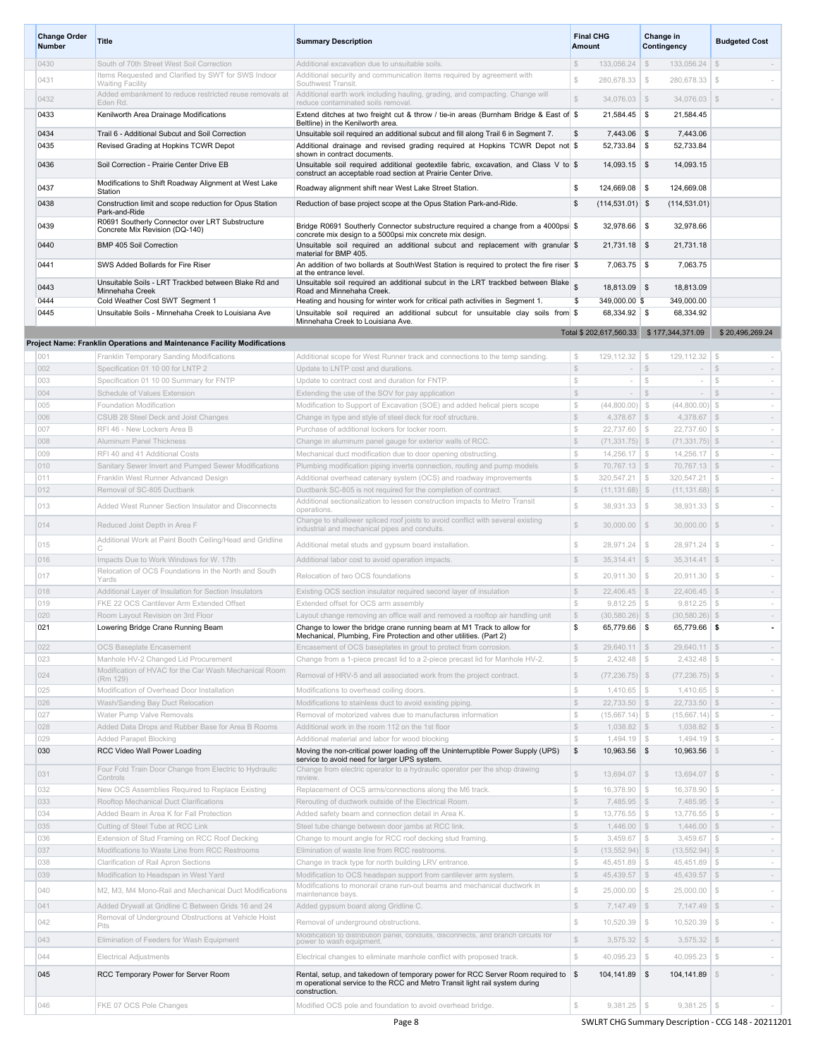| <b>Change Order</b><br><b>Number</b> | <b>Title</b>                                                                                 | <b>Summary Description</b>                                                                                                                            | <b>Final CHG</b><br><b>Amount</b>                                 | Change in<br><b>Budgeted Cost</b><br>Contingency                      |                                                    |
|--------------------------------------|----------------------------------------------------------------------------------------------|-------------------------------------------------------------------------------------------------------------------------------------------------------|-------------------------------------------------------------------|-----------------------------------------------------------------------|----------------------------------------------------|
| 0430                                 | South of 70th Street West Soil Correction                                                    | Additional excavation due to unsuitable soils.                                                                                                        | $$\mathbb{S}$$<br>133,056.24                                      | $\mathcal{F}$<br>133,056.24                                           | $\mathbb{S}$                                       |
| 0431                                 | Items Requested and Clarified by SWT for SWS Indoor<br><b>Waiting Facility</b>               | Additional security and communication items required by agreement with<br>Southwest Transit                                                           | $\mathbb{S}$<br>280,678.33                                        | 280,678.33<br>$\mathcal{S}$                                           | $$\$                                               |
| 0432                                 | Added embankment to reduce restricted reuse removals at                                      | Additional earth work including hauling, grading, and compacting. Change will                                                                         | $\mathbb{S}$<br>$34,076.03$ \$                                    | 34,076.03                                                             | \$                                                 |
| 0433                                 | Eden Rd.<br>Kenilworth Area Drainage Modifications                                           | reduce contaminated soils removal.<br>Extend ditches at two freight cut & throw / tie-in areas (Burnham Bridge & East of \$                           | 21,584.45                                                         | \$<br>21,584.45                                                       |                                                    |
|                                      |                                                                                              | Beltline) in the Kenilworth area.                                                                                                                     |                                                                   |                                                                       |                                                    |
| 0434<br>0435                         | Trail 6 - Additional Subcut and Soil Correction                                              | Unsuitable soil required an additional subcut and fill along Trail 6 in Segment 7.                                                                    | \$<br>$7,443.06$ \$                                               | 7,443.06                                                              |                                                    |
|                                      | Revised Grading at Hopkins TCWR Depot                                                        | Additional drainage and revised grading required at Hopkins TCWR Depot not \$<br>shown in contract documents.                                         | $52,733.84$ \$                                                    | 52,733.84                                                             |                                                    |
| 0436                                 | Soil Correction - Prairie Center Drive EB                                                    | Unsuitable soil required additional geotextile fabric, excavation, and Class V to \$<br>construct an acceptable road section at Prairie Center Drive. | $14,093.15$ \$                                                    | 14,093.15                                                             |                                                    |
| 0437                                 | Modifications to Shift Roadway Alignment at West Lake                                        | Roadway alignment shift near West Lake Street Station.                                                                                                | 124,669.08 \$<br>\$                                               | 124,669.08                                                            |                                                    |
| 0438                                 | Station<br>Construction limit and scope reduction for Opus Station                           | Reduction of base project scope at the Opus Station Park-and-Ride.                                                                                    | \$<br>$(114, 531.01)$ \$                                          | (114, 531.01)                                                         |                                                    |
|                                      | Park-and-Ride                                                                                |                                                                                                                                                       |                                                                   |                                                                       |                                                    |
| 0439                                 | R0691 Southerly Connector over LRT Substructure<br>Concrete Mix Revision (DQ-140)            | Bridge R0691 Southerly Connector substructure required a change from a 4000psi \$                                                                     | $32,978.66$ \$                                                    | 32,978.66                                                             |                                                    |
| 0440                                 | BMP 405 Soil Correction                                                                      | concrete mix design to a 5000psi mix concrete mix design.<br>Unsuitable soil required an additional subcut and replacement with granular \$           | $21,731.18$ \$                                                    | 21,731.18                                                             |                                                    |
|                                      |                                                                                              | material for BMP 405.                                                                                                                                 |                                                                   |                                                                       |                                                    |
| 0441                                 | SWS Added Bollards for Fire Riser                                                            | An addition of two bollards at SouthWest Station is required to protect the fire riser \$<br>at the entrance level.                                   | 7,063.75 \$                                                       | 7,063.75                                                              |                                                    |
| 0443                                 | Unsuitable Soils - LRT Trackbed between Blake Rd and<br>Minnehaha Creek                      | Unsuitable soil required an additional subcut in the LRT trackbed between Blake<br>Road and Minnehaha Creek.                                          | $18,813.09$ \$                                                    | 18,813.09                                                             |                                                    |
| 0444                                 | Cold Weather Cost SWT Segment 1                                                              | Heating and housing for winter work for critical path activities in Segment 1.                                                                        | \$<br>349,000.00 \$                                               | 349.000.00                                                            |                                                    |
| 0445                                 | Unsuitable Soils - Minnehaha Creek to Louisiana Ave                                          | Unsuitable soil required an additional subcut for unsuitable clay soils from \$                                                                       | 68,334.92 \$                                                      | 68.334.92                                                             |                                                    |
|                                      |                                                                                              | Minnehaha Creek to Louisiana Ave.                                                                                                                     | Total \$202,617,560.33 \$177,344,371.09                           |                                                                       | \$20,496,269.24                                    |
|                                      | Project Name: Franklin Operations and Maintenance Facility Modifications                     |                                                                                                                                                       |                                                                   |                                                                       |                                                    |
| 001                                  | Franklin Temporary Sanding Modifications                                                     | Additional scope for West Runner track and connections to the temp sanding.                                                                           | $\mathcal{F}$<br>$129, 112.32$ \$                                 | $129, 112.32$ \$                                                      | $\sim$                                             |
| 002                                  | Specification 01 10 00 for LNTP 2                                                            | Update to LNTP cost and durations.                                                                                                                    | $\mathbb{S}$<br>$\sim$                                            | $\mathcal{S}$<br>$\sim$                                               | $$\mathbb{S}$$<br>$\sim$                           |
| 003<br>004                           | Specification 01 10 00 Summary for FNTP<br>Schedule of Values Extension                      | Update to contract cost and duration for FNTP.<br>Extending the use of the SOV for pay application                                                    | $\mathbb{S}$<br>$\sim$<br>$$\mathbb{S}$$<br>$\sim$                | $$\mathbb{S}$$<br>$\overline{\phantom{a}}$<br>$\mathcal{S}$<br>$\sim$ | $$\mathbb{S}$$<br>$\sim$<br>$\mathbb{S}$<br>$\sim$ |
| 005                                  | Foundation Modification                                                                      | Modification to Support of Excavation (SOE) and added helical piers scope                                                                             | $\mathbb{S}$<br>(44,800.00)                                       | $\mathcal{S}$<br>(44,800.00)                                          | $\mathcal{S}$<br>$\sim$                            |
| 006                                  | CSUB 28 Steel Deck and Joist Changes                                                         | Change in type and style of steel deck for roof structure.                                                                                            | $\mathbb{S}$<br>$4,378.67$ \$                                     | 4,378.67                                                              | $\mathbb{S}$<br>$\sim$                             |
| 007                                  | RFI 46 - New Lockers Area B                                                                  | Purchase of additional lockers for locker room                                                                                                        | $\mathbb{S}$<br>22,737.60                                         | $\mathcal{S}$<br>22,737.60                                            | $\mathcal{S}$<br>$\sim$                            |
| 008                                  | Aluminum Panel Thickness                                                                     | Change in aluminum panel gauge for exterior walls of RCC.                                                                                             | $\mathbb{S}$<br>$(71, 331.75)$ \$                                 | $(71, 331.75)$ \$                                                     | $\sim$                                             |
| 009                                  | RFI 40 and 41 Additional Costs                                                               | Mechanical duct modification due to door opening obstructing.                                                                                         | $\mathbb{S}$<br>14,256.17                                         | $\mathcal{S}$<br>14,256.17                                            | $\mathcal{S}$<br>$\sim$                            |
| 010<br>011                           | Sanitary Sewer Invert and Pumped Sewer Modifications<br>Franklin West Runner Advanced Design | Plumbing modification piping inverts connection, routing and pump models<br>Additional overhead catenary system (OCS) and roadway improvements        | $\mathbb{S}$<br>$70,767.13$ \$<br>$\mathbb{S}$<br>320,547.21      | $70,767.13$ \$<br>$\mathcal{S}$<br>320,547.21                         | $\sim$<br>$\mathcal{S}$<br>$\sim$                  |
| 012                                  | Removal of SC-805 Ductbank                                                                   | Ductbank SC-805 is not required for the completion of contract.                                                                                       | $\mathbb{S}$<br>$(11, 131.68)$ \$                                 | $(11, 131.68)$ \$                                                     | $\sim$                                             |
| 013                                  | Added West Runner Section Insulator and Disconnects                                          | Additional sectionalization to lessen construction impacts to Metro Transit                                                                           | Ŝ<br>38,931.33                                                    | $\mathcal{L}$<br>38,931.33                                            | $\mathcal{S}$<br>$\sim$                            |
|                                      |                                                                                              | operations.<br>Change to shallower spliced roof joists to avoid conflict with several existing                                                        |                                                                   |                                                                       |                                                    |
| 014                                  | Reduced Joist Depth in Area F                                                                | industrial and mechanical pipes and conduits.                                                                                                         | $\mathbb{S}$<br>$30,000.00$ $\sqrt{\$}$                           | 30,000.00                                                             | $\mathcal{S}$                                      |
| 015                                  | Additional Work at Paint Booth Ceiling/Head and Gridline                                     | Additional metal studs and gypsum board installation.                                                                                                 | $$\mathbb{S}$$<br>28,971.24                                       | $\mathcal{L}$<br>28,971.24                                            | $\mathbb{S}$<br>$\overline{\phantom{a}}$           |
| 016                                  | Impacts Due to Work Windows for W. 17th                                                      | Additional labor cost to avoid operation impacts                                                                                                      | $\mathbb{S}$<br>35.314.41                                         | $\mathcal{S}$<br>35.314.41                                            | \$<br>$\sim$                                       |
| 017                                  | Relocation of OCS Foundations in the North and South<br>Yards                                | Relocation of two OCS foundations                                                                                                                     | $\mathbb{S}$<br>20,911.30                                         | $\mathcal{S}$<br>20,911.30                                            | $\mathbb{S}$                                       |
| 018                                  | Additional Layer of Insulation for Section Insulators                                        | Existing OCS section insulator required second layer of insulation                                                                                    | $\mathbb{S}$<br>22,406.45                                         | $\mathcal{S}$<br>22,406.45                                            | \$<br>$\sim$                                       |
| 019                                  | FKE 22 OCS Cantilever Arm Extended Offset                                                    | Extended offset for OCS arm assembly                                                                                                                  | $$\mathbb{S}$$<br>9,812.25                                        | $\mathcal{L}$<br>9,812.25                                             | $\mathcal{F}$<br>$\sim$                            |
| 020                                  | Room Layout Revision on 3rd Floor                                                            | Layout change removing an office wall and removed a rooftop air handling unit                                                                         | $\mathbb{S}$<br>$(30,580.26)$ \$                                  | $(30,580.26)$ \$                                                      | $\sim$                                             |
| 021                                  | Lowering Bridge Crane Running Beam                                                           | Change to lower the bridge crane running beam at M1 Track to allow for<br>Mechanical, Plumbing, Fire Protection and other utilities. (Part 2)         | S<br>65,779.66                                                    | \$<br>65,779.66                                                       | - \$                                               |
| 022                                  | OCS Baseplate Encasement                                                                     | Encasement of OCS baseplates in grout to protect from corrosion.                                                                                      | $$\mathbb{S}$$<br>$29,640.11$ \$                                  | $29,640.11$ \$                                                        | $\sim$                                             |
| 023                                  | Manhole HV-2 Changed Lid Procurement                                                         | Change from a 1-piece precast lid to a 2-piece precast lid for Manhole HV-2.                                                                          | $\mathbb{S}$<br>2,432.48                                          | $\mathcal{Z}$<br>2,432.48                                             | $\mathcal{L}$<br>$\sim$                            |
| 024                                  | Modification of HVAC for the Car Wash Mechanical Room<br>(Rm 129)                            | Removal of HRV-5 and all associated work from the project contract.                                                                                   | $\mathbb{S}$<br>$(77, 236.75)$ \$                                 | $(77, 236.75)$ \$                                                     |                                                    |
| 025                                  | Modification of Overhead Door Installation                                                   | Modifications to overhead coiling doors.                                                                                                              | $\mathbb{S}$<br>1,410.65                                          | $$\mathbb{S}$$<br>1,410.65                                            | $\mathcal{F}$<br>$\sim$                            |
| 026                                  | Wash/Sanding Bay Duct Relocation                                                             | Modifications to stainless duct to avoid existing piping.                                                                                             | $$\mathbb{S}$$<br>$22,733.50$ \$                                  | 22,733.50                                                             | \$<br>$\sim$                                       |
| 027<br>028                           | Water Pump Valve Removals<br>Added Data Drops and Rubber Base for Area B Rooms               | Removal of motorized valves due to manufactures information<br>Additional work in the room 112 on the 1st floor                                       | $\mathbb{S}$<br>$(15,667.14)$ \$<br>$\mathbb{S}$<br>$1,038.82$ \$ | $(15,667.14)$ \$<br>$1,038.82$ \$                                     | $\sim$<br>$\sim$                                   |
| 029                                  | Added Parapet Blocking                                                                       | Additional material and labor for wood blocking                                                                                                       | $\mathcal{Z}$<br>$1,494.19$ \\$                                   | $1,494.19$ \$                                                         | $\sim$                                             |
| 030                                  | RCC Video Wall Power Loading                                                                 | Moving the non-critical power loading off the Uninterruptible Power Supply (UPS)                                                                      | \$<br>10,963.56 \$                                                | 10,963.56                                                             | $\mathcal{S}$<br>$\sim$                            |
|                                      | Four Fold Train Door Change from Electric to Hydraulic                                       | service to avoid need for larger UPS system.<br>Change from electric operator to a hydraulic operator per the shop drawing                            |                                                                   |                                                                       |                                                    |
| 031                                  | Controls                                                                                     | review.                                                                                                                                               | $\mathbb{S}$<br>$13,694.07$ \$                                    | $13,694.07$ \$                                                        |                                                    |
| 032                                  | New OCS Assemblies Required to Replace Existing                                              | Replacement of OCS arms/connections along the M6 track.                                                                                               | $\mathbb{S}$<br>16,378.90                                         | $\mathcal{S}$<br>16.378.90                                            | -S<br>$\sim$                                       |
| 033<br>034                           | Rooftop Mechanical Duct Clarifications<br>Added Beam in Area K for Fall Protection           | Rerouting of ductwork outside of the Electrical Room.<br>Added safety beam and connection detail in Area K.                                           | $\mathbb{S}$<br>7,485.95<br>$$\mathbb{S}$$<br>13,776.55           | $\mathcal{S}$<br>7,485.95<br>$\mathcal{S}$<br>13,776.55               | $\mathbb{S}$<br>$\sim$<br>$\mathbb{S}$<br>$\sim$   |
| 035                                  | Cutting of Steel Tube at RCC Link                                                            | Steel tube change between door jambs at RCC link.                                                                                                     | $\mathbb{S}$<br>$1,446.00$ \$                                     | $1,446.00$ \$                                                         | $\sim$                                             |
| 036                                  | Extension of Stud Framing on RCC Roof Decking                                                | Change to mount angle for RCC roof decking stud framing.                                                                                              | $\mathbb{S}$<br>3,459.67                                          | $\mathcal{S}$<br>$3,459.67$ \$                                        | $\sim$                                             |
| 037                                  | Modifications to Waste Line from RCC Restrooms                                               | Elimination of waste line from RCC restrooms.                                                                                                         | $\mathbb{S}$<br>$(13,552.94)$ \$                                  | $(13,552.94)$ \$                                                      | $\sim$                                             |
| 038                                  | Clarification of Rail Apron Sections                                                         | Change in track type for north building LRV entrance.                                                                                                 | Ŝ<br>45,451.89                                                    | $\mathcal{S}$<br>45,451.89                                            | $\mathcal{S}$<br>$\sim$                            |
| 039                                  | Modification to Headspan in West Yard                                                        | Modification to OCS headspan support from cantilever arm system.<br>Modifications to monorail crane run-out beams and mechanical ductwork in          | $\mathbb{S}$<br>$45,439.57$ \$                                    | $45,439.57$ \$                                                        | $\sim$                                             |
| 040                                  | M2, M3, M4 Mono-Rail and Mechanical Duct Modifications                                       | maintenance bays.                                                                                                                                     | Ŝ<br>25,000.00                                                    | $\mathcal{Z}$<br>25,000.00                                            | $\mathcal{Z}$<br>$\sim$                            |
| 041                                  | Added Drywall at Gridline C Between Grids 16 and 24                                          | Added gypsum board along Gridline C.                                                                                                                  | $$\mathbb{S}$$<br>$7,147.49$ \$                                   | 7,147.49                                                              | \$<br>$\sim$                                       |
| 042                                  | Removal of Underground Obstructions at Vehicle Hoist<br>Pits                                 | Removal of underground obstructions.                                                                                                                  | $\mathbb{S}$<br>10,520.39                                         | $$\mathbb{S}$$<br>10,520.39                                           | \$                                                 |
| 043                                  | Elimination of Feeders for Wash Equipment                                                    | Modification to distribution panel, conduits, disconnects, and branch circuits for power to wash equipment.                                           | $\mathbb{S}$<br>$3,575.32$ \\$                                    | 3,575.32                                                              | \$<br>$\sim$                                       |
| 044                                  | <b>Electrical Adjustments</b>                                                                | Electrical changes to eliminate manhole conflict with proposed track.                                                                                 | $\mathbb{S}$<br>40,095.23                                         | $$\mathbb{S}$$<br>40,095.23                                           | $$\delta$$                                         |
| 045                                  |                                                                                              | Rental, setup, and takedown of temporary power for RCC Server Room required to \$                                                                     |                                                                   |                                                                       |                                                    |
|                                      | RCC Temporary Power for Server Room                                                          | m operational service to the RCC and Metro Transit light rail system during<br>construction.                                                          | $104, 141.89$ \$                                                  | 104,141.89                                                            |                                                    |
| 046                                  | FKE 07 OCS Pole Changes                                                                      | Modified OCS pole and foundation to avoid overhead bridge.                                                                                            | $$\mathbb{S}$$<br>$9,381.25$ \$                                   | $9,381.25$ \$                                                         |                                                    |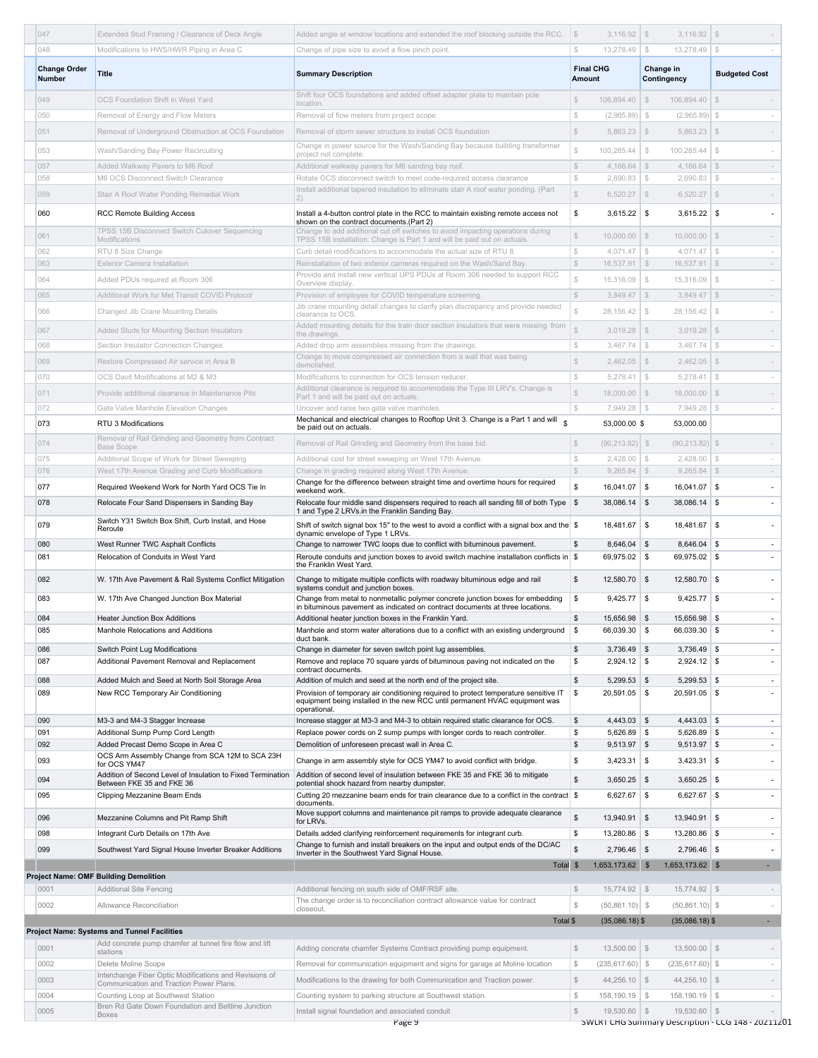| 047                           | Extended Stud Framing / Clearance of Deck Angle                                       | Added angle at window locations and extended the roof blocking outside the RCC.                                                                                                                                  | $\mathcal{S}$                  |                                 | 3,116.92                              | \$                             |                                    |
|-------------------------------|---------------------------------------------------------------------------------------|------------------------------------------------------------------------------------------------------------------------------------------------------------------------------------------------------------------|--------------------------------|---------------------------------|---------------------------------------|--------------------------------|------------------------------------|
| 048                           | Modifications to HWS/HWR Piping in Area C                                             | Change of pipe size to avoid a flow pinch point.                                                                                                                                                                 | S                              | 13,278.49                       | S.<br>13.278.49                       | $\mathbb{S}$                   |                                    |
| <b>Change Order</b><br>Number | <b>Title</b>                                                                          | <b>Summary Description</b>                                                                                                                                                                                       | Amount                         | <b>Final CHG</b>                | Change in<br>Contingency              |                                | <b>Budgeted Cost</b>               |
| 049                           | OCS Foundation Shift in West Yard                                                     | Shift four OCS foundations and added offset adapter plate to maintain pole<br>location.                                                                                                                          | S                              | 106,894.40                      | $\mathcal{S}$<br>106,894.40           | \$                             |                                    |
| 050                           | Removal of Energy and Flow Meters                                                     | Removal of flow meters from project scope.                                                                                                                                                                       | $\mathbb{S}$                   | (2,965.89)                      | - \$<br>(2,965.89)                    | S.                             | $\sim$                             |
| 051                           | Removal of Underground Obstruction at OCS Foundation                                  | Removal of storm sewer structure to install OCS foundation                                                                                                                                                       | $\mathbb{S}$                   | 5,863.23                        | \$<br>5,863.23                        | \$                             |                                    |
|                               |                                                                                       | Change in power source for the Wash/Sanding Bay because building transformer                                                                                                                                     | $\mathbb{S}$                   | 100,285.44                      |                                       |                                |                                    |
| 053                           | Wash/Sanding Bay Power Recircuiting                                                   | project not complete.                                                                                                                                                                                            |                                |                                 | 100,285.44<br>$$\delta$$              | $$\delta$$                     |                                    |
| 057<br>058                    | Added Walkway Pavers to M6 Roof<br>M6 OCS Disconnect Switch Clearance                 | Additional walkway pavers for M6 sanding bay roof.<br>Rotate OCS disconnect switch to meet code-required access clearance                                                                                        | $$\mathbb{S}$$<br>$\mathbb{S}$ | $4,166.64$ \$<br>2,690.83       | 4,166.64<br>$\mathcal{L}$<br>2,690.83 | $\mathcal{S}$<br>$\mathcal{F}$ | $\sim$<br>$\sim$                   |
| 059                           | Stair A Roof Water Ponding Remedial Work                                              | Install additional tapered insulation to eliminate stair A roof water ponding. (Part                                                                                                                             | $\mathbb{S}$                   | $6,520.27$ \$                   | $6,520.27$ \$                         |                                |                                    |
|                               |                                                                                       | 2)                                                                                                                                                                                                               |                                |                                 |                                       |                                |                                    |
| 060                           | <b>RCC Remote Building Access</b><br>TPSS 15B Disconnect Switch Cutover Sequencing    | Install a 4-button control plate in the RCC to maintain existing remote access not<br>shown on the contract documents.(Part 2)<br>Change to add additional cut off switches to avoid impacting operations during | \$                             | $3,615.22$ \$                   | $3,615.22$ \$                         |                                | $\overline{\phantom{a}}$           |
| 061                           | Modifications                                                                         | TPSS 15B installation. Change is Part 1 and will be paid out on actuals.                                                                                                                                         | $\mathbb{S}$                   | 10,000.00                       | $\mathcal{S}$<br>10,000.00            | \$                             |                                    |
| 062                           | RTU 8 Size Change                                                                     | Curb detail modifications to accommodate the actual size of RTU 8.                                                                                                                                               | $\mathbb{S}$<br>$\mathbb{S}$   | 4,071.47<br>$16,537.91$ \$      | $\mathcal{F}$<br>4,071.47             | $\mathcal{F}$<br>\$            | $\sim$                             |
| 063                           | <b>Exterior Camera Installation</b>                                                   | Reinstallation of two exterior cameras required on the Wash/Sand Bay.<br>Provide and install new vertical UPS PDUs at Room 306 needed to support RCC                                                             |                                |                                 | 16,537.91                             |                                |                                    |
| 064                           | Added PDUs required at Room 306                                                       | Overview display                                                                                                                                                                                                 | $\mathbb{S}$                   | 15,316.09                       | $\mathcal{F}$<br>15,316.09            | $\mathcal{F}$                  |                                    |
| 065                           | Additional Work for Met Transit COVID Protocol                                        | Provision of employee for COVID temperature screening.<br>Jib crane mounting detail changes to clarify plan discrepancy and provide needed                                                                       | $\mathbb{S}$                   | $3,849.47$ \$                   | 3,849.47                              | \$                             | $\overline{\phantom{a}}$           |
| 066                           | Changed Jib Crane Mounting Details                                                    | clearance to OCS.                                                                                                                                                                                                | $\mathbb{S}$                   | 28,156.42                       | $\mathcal{F}$<br>28,156.42            | $\mathcal{F}$                  |                                    |
| 067                           | Added Studs for Mounting Section Insulators                                           | Added mounting details for the train door section insulators that were missing from<br>the drawings.                                                                                                             | S                              | 3,019.28                        | $\mathcal{S}$<br>3,019.28             | \$                             |                                    |
| 068                           | Section Insulator Connection Changes                                                  | Added drop arm assemblies missing from the drawings.                                                                                                                                                             | $\mathbb{S}$                   | 3,467.74                        | $\mathcal{F}$<br>3,467.74             | $\mathcal{F}$                  | $\sim$                             |
| 069                           | Restore Compressed Air service in Area B                                              | Change to move compressed air connection from a wall that was being                                                                                                                                              | $\mathbb{S}$                   | $2,462.05$ \$                   | $2,462.05$ \$                         |                                |                                    |
| 070                           | OCS Davit Modifications at M2 & M3                                                    | demolished.<br>Modifications to connection for OCS tension reducer.                                                                                                                                              | $\mathbb{S}$                   | 5,278.41                        | $\mathbb{S}$<br>5,278.41              | $\mathcal{F}$                  | $\sim$                             |
| 071                           | Provide additional clearance in Maintenance Pits                                      | Additional clearance is required to accommodate the Type III LRV's. Change is                                                                                                                                    | $\mathbb{S}$                   | $18,000.00$ \$                  | $18,000.00$ \$                        |                                |                                    |
| 072                           | Gate Valve Manhole Elevation Changes                                                  | Part 1 and will be paid out on actuals.<br>Uncover and raise two gate valve manholes.                                                                                                                            | $\mathbb{S}$                   | $7,949.28$ \ \$                 | 7,949.28                              | $\mathcal{F}$                  | $\sim$                             |
| 073                           | RTU 3 Modifications                                                                   | Mechanical and electrical changes to Rooftop Unit 3. Change is a Part 1 and will                                                                                                                                 |                                | 53,000.00 \$                    | 53,000.00                             |                                |                                    |
|                               |                                                                                       | be paid out on actuals.                                                                                                                                                                                          |                                |                                 |                                       |                                |                                    |
| 074                           | Removal of Rail Grinding and Geometry from Contract<br><b>Base Scope</b>              | Removal of Rail Grinding and Geometry from the base bid.                                                                                                                                                         | $\mathbb{S}$                   | $(90, 213.82)$ \$               | $(90, 213.82)$ \$                     |                                |                                    |
| 075                           | Additional Scope of Work for Street Sweeping                                          | Additional cost for street sweeping on West 17th Avenue.                                                                                                                                                         | $$\mathbb{S}$$                 | 2,428.00                        | $\mathcal{F}$<br>2,428.00             | $\mathcal{F}$                  | $\sim$                             |
| 076                           | West 17th Avenue Grading and Curb Modifications                                       | Change in grading required along West 17th Avenue.<br>Change for the difference between straight time and overtime hours for required                                                                            | $\mathbb{S}$                   | $9,265.84$ \$                   | $9,265.84$ \$                         |                                | $\sim$                             |
| 077                           | Required Weekend Work for North Yard OCS Tie In                                       | weekend work.                                                                                                                                                                                                    | \$                             | $16,041.07$ \$                  | 16,041.07                             | \$                             | $\overline{\phantom{a}}$           |
| 078                           | Relocate Four Sand Dispensers in Sanding Bay                                          | Relocate four middle sand dispensers required to reach all sanding fill of both Type \ \$<br>1 and Type 2 LRVs.in the Franklin Sanding Bay.                                                                      |                                | $38,086.14$ \$                  | 38,086.14 \$                          |                                |                                    |
| 079                           | Switch Y31 Switch Box Shift, Curb Install, and Hose<br>Reroute                        | Shift of switch signal box 15" to the west to avoid a conflict with a signal box and the \$<br>dynamic envelope of Type 1 LRVs.                                                                                  |                                | 18,481.67                       | \$<br>18,481.67                       | -\$                            |                                    |
| 080                           | West Runner TWC Asphalt Conflicts                                                     | Change to narrower TWC loops due to conflict with bituminous pavement.                                                                                                                                           | \$                             | 8,646.04 \$                     | 8,646.04                              | \$                             | $\overline{\phantom{a}}$           |
| 081                           | Relocation of Conduits in West Yard                                                   | Reroute conduits and junction boxes to avoid switch machine installation conflicts in $\$<br>the Franklin West Yard.                                                                                             |                                | $69,975.02$ \$                  | 69,975.02 \$                          |                                |                                    |
| 082                           | W. 17th Ave Pavement & Rail Systems Conflict Mitigation                               | Change to mitigate multiple conflicts with roadway bituminous edge and rail<br>systems conduit and junction boxes.                                                                                               | \$                             | 12,580.70 \$                    | 12,580.70                             | -\$                            |                                    |
| 083                           | W. 17th Ave Changed Junction Box Material                                             | Change from metal to nonmetallic polymer concrete junction boxes for embedding                                                                                                                                   | \$                             | $9,425.77$ \$                   | $9,425.77$ \$                         |                                |                                    |
| 084                           | <b>Heater Junction Box Additions</b>                                                  | in bituminous pavement as indicated on contract documents at three locations.<br>Additional heater junction boxes in the Franklin Yard.                                                                          | \$                             | 15,656.98 \$                    | 15,656.98 \$                          |                                | $\overline{\phantom{a}}$           |
| 085                           | Manhole Relocations and Additions                                                     | Manhole and storm water alterations due to a conflict with an existing underground                                                                                                                               | \$                             | 66,039.30                       | - 5<br>66,039.30                      | -5                             |                                    |
|                               |                                                                                       | duct bank.                                                                                                                                                                                                       | \$                             |                                 | $3,736.49$ \$                         |                                | $\overline{\phantom{a}}$           |
| 086<br>087                    | Switch Point Lug Modifications<br>Additional Pavement Removal and Replacement         | Change in diameter for seven switch point lug assemblies.<br>Remove and replace 70 square yards of bituminous paving not indicated on the                                                                        | \$                             | 3,736.49 \$<br>$2,924.12$ \$    | $2,924.12$ \$                         |                                | $\overline{\phantom{a}}$           |
|                               |                                                                                       | contract documents.                                                                                                                                                                                              |                                |                                 |                                       |                                |                                    |
| 088<br>089                    | Added Mulch and Seed at North Soil Storage Area<br>New RCC Temporary Air Conditioning | Addition of mulch and seed at the north end of the project site.<br>Provision of temporary air conditioning required to protect temperature sensitive IT                                                         | \$<br>\$                       | $5,299.53$ \$<br>$20,591.05$ \$ | $5,299.53$ \$<br>$20,591.05$ \$       |                                | $\sim$<br>$\overline{\phantom{a}}$ |
|                               |                                                                                       | equipment being installed in the new RCC until permanent HVAC equipment was<br>operational.                                                                                                                      |                                |                                 |                                       |                                |                                    |
| 090                           | M3-3 and M4-3 Stagger Increase                                                        | Increase stagger at M3-3 and M4-3 to obtain required static clearance for OCS.                                                                                                                                   | \$                             | 4,443.03 \$                     | $4,443.03$ \$                         |                                | $\overline{\phantom{a}}$           |
| 091<br>092                    | Additional Sump Pump Cord Length<br>Added Precast Demo Scope in Area C                | Replace power cords on 2 sump pumps with longer cords to reach controller.<br>Demolition of unforeseen precast wall in Area C.                                                                                   | \$<br>\$                       | 5,626.89 \$<br>$9,513.97$ \$    | 5,626.89 \$<br>$9,513.97$ \$          |                                | $\overline{\phantom{a}}$<br>$\sim$ |
| 093                           | OCS Arm Assembly Change from SCA 12M to SCA 23H                                       | Change in arm assembly style for OCS YM47 to avoid conflict with bridge.                                                                                                                                         | \$                             | $3,423.31$ \$                   | $3,423.31$ \$                         |                                | $\overline{\phantom{a}}$           |
|                               | for OCS YM47<br>Addition of Second Level of Insulation to Fixed Termination           | Addition of second level of insulation between FKE 35 and FKE 36 to mitigate                                                                                                                                     |                                |                                 |                                       |                                |                                    |
| 094                           | Between FKE 35 and FKE 36                                                             | potential shock hazard from nearby dumpster.                                                                                                                                                                     | \$                             | $3,650.25$ \$                   | $3,650.25$ \$                         |                                | $\overline{\phantom{a}}$           |
| 095                           | Clipping Mezzanine Beam Ends                                                          | Cutting 20 mezzanine beam ends for train clearance due to a conflict in the contract \$<br>documents.<br>Move support columns and maintenance pit ramps to provide adequate clearance                            |                                | $6,627.67$ \$                   | $6,627.67$ \$                         |                                | $\sim$                             |
| 096                           | Mezzanine Columns and Pit Ramp Shift                                                  | for LRVs.                                                                                                                                                                                                        | \$                             | 13,940.91 \$                    | $13,940.91$ \$                        |                                | $\overline{\phantom{a}}$           |
| 098                           | Integrant Curb Details on 17th Ave                                                    | Details added clarifying reinforcement requirements for integrant curb.                                                                                                                                          | \$                             | 13,280.86 \$                    | 13,280.86 \$                          |                                | $\sim$                             |
| 099                           | Southwest Yard Signal House Inverter Breaker Additions                                | Change to furnish and install breakers on the input and output ends of the DC/AC<br>Inverter in the Southwest Yard Signal House.                                                                                 | \$                             | 2,796.46 \$                     | 2,796.46 \$                           |                                | $\overline{\phantom{a}}$           |
|                               |                                                                                       | Total                                                                                                                                                                                                            | $\mathbf{\$}$                  | 1,653,173.62 \$                 | 1,653,173.62 \$                       |                                | н.                                 |
|                               | Project Name: OMF Building Demolition                                                 |                                                                                                                                                                                                                  |                                |                                 |                                       |                                |                                    |
| 0001                          | <b>Additional Site Fencing</b>                                                        | Additional fencing on south side of OMF/RSF site.<br>The change order is to reconciliation contract allowance value for contract                                                                                 | $$\mathbb{S}$$                 | $15,774.92$ \$                  | $15,774.92$ \$                        |                                | $\sim$                             |
| 0002                          | Allowance Reconciliation                                                              | closeout.                                                                                                                                                                                                        | $\mathbb{S}$                   | $(50,861.10)$ \$                | $(50,861.10)$ \$                      |                                | $\overline{a}$                     |
|                               | Project Name: Systems and Tunnel Facilities                                           | Total \$                                                                                                                                                                                                         |                                | $(35,086.18)$ \$                | $(35,086.18)$ \$                      |                                |                                    |
|                               | Add concrete pump chamfer at tunnel fire flow and lift                                |                                                                                                                                                                                                                  |                                |                                 |                                       |                                |                                    |
| 0001                          | stations                                                                              | Adding concrete chamfer Systems Contract providing pump equipment.                                                                                                                                               | $\mathbb{S}$                   | $13,500.00$ \$                  | $13,500.00$ \$                        |                                |                                    |
| 0002                          | Delete Moline Scope<br>Interchange Fiber Optic Modifications and Revisions of         | Removal for communication equipment and signs for garage at Moline location                                                                                                                                      | $\mathbb{S}$                   | (235, 617.60)                   | \$<br>$(235, 617.60)$ \$              |                                | $\sim$                             |
| 0003                          | Communication and Traction Power Plans.                                               | Modifications to the drawing for both Communication and Traction power.                                                                                                                                          | $\mathbb{S}$                   | $44,256.10$ \\$                 | $44,256.10$ \$                        |                                | $\sim$                             |
| 0004                          | Counting Loop at Southwest Station                                                    | Counting system to parking structure at Southwest station.                                                                                                                                                       | $\mathbb{S}$                   | 158,190.19                      | $\mathcal{F}$<br>$158, 190.19$ \$     |                                | $\sim$                             |
| 0005                          | Bren Rd Gate Down Foundation and Beltline Junction<br>Boxes                           | Install signal foundation and associated conduit                                                                                                                                                                 | $$\mathbb{S}$$                 | $19,530.60$ \$                  | $19,530.60$ \$                        |                                |                                    |

Page 9 SWLRT CHG Summary Description - CCG 148 - 20211201